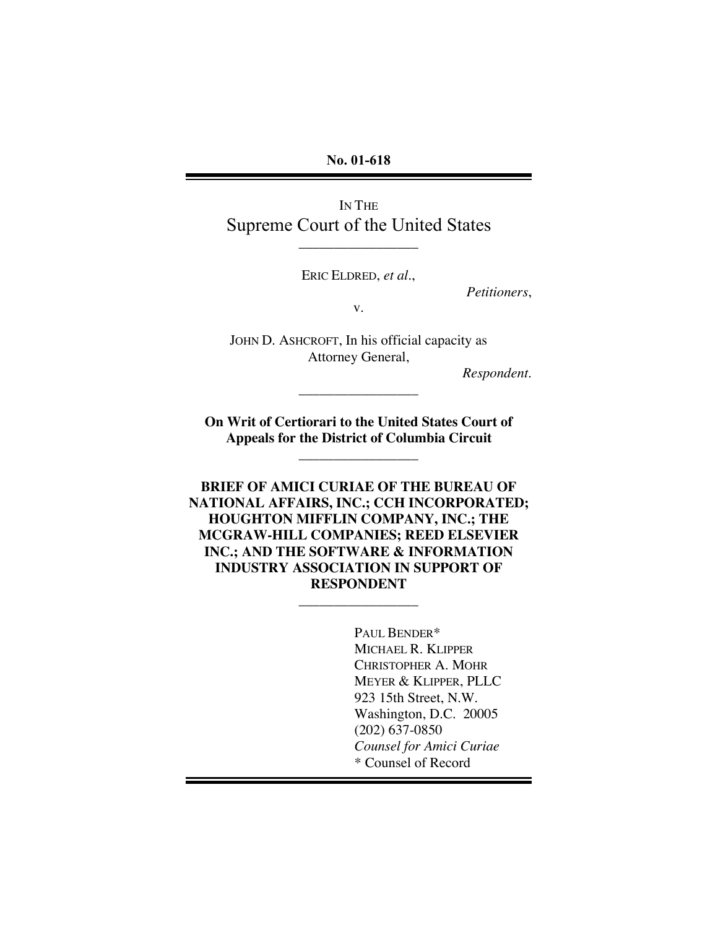**No. 01-618**

IN THE Supreme Court of the United States

\_\_\_\_\_\_\_\_\_\_\_\_\_\_\_\_\_

ERIC ELDRED, *et al.*,

*Petitioners*,

v.

JOHN D. ASHCROFT, In his official capacity as Attorney General,

\_\_\_\_\_\_\_\_\_\_\_\_\_\_\_\_\_

*Respondent*.

**On Writ of Certiorari to the United States Court of Appeals for the District of Columbia Circuit**

\_\_\_\_\_\_\_\_\_\_\_\_\_\_\_\_\_

**BRIEF OF AMICI CURIAE OF THE BUREAU OF NATIONAL AFFAIRS, INC.; CCH INCORPORATED; HOUGHTON MIFFLIN COMPANY, INC.; THE MCGRAW-HILL COMPANIES; REED ELSEVIER INC.; AND THE SOFTWARE & INFORMATION INDUSTRY ASSOCIATION IN SUPPORT OF RESPONDENT**

\_\_\_\_\_\_\_\_\_\_\_\_\_\_\_\_\_

PAUL BENDER\* MICHAEL R. KLIPPER CHRISTOPHER A. MOHR MEYER & KLIPPER, PLLC 923 15th Street, N.W. Washington, D.C. 20005 (202) 637-0850 *Counsel for Amici Curiae* \* Counsel of Record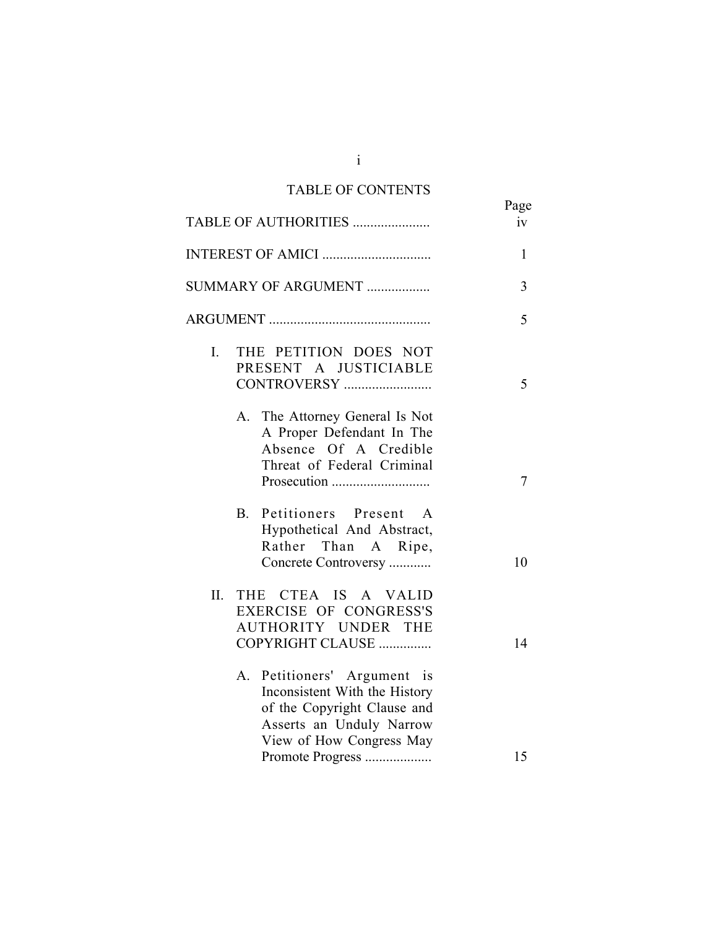# TABLE OF CONTENTS

|     | TABLE OF AUTHORITIES                                                                                                                                                       | Page<br>iv |
|-----|----------------------------------------------------------------------------------------------------------------------------------------------------------------------------|------------|
|     | INTEREST OF AMICI                                                                                                                                                          | 1          |
|     | SUMMARY OF ARGUMENT                                                                                                                                                        | 3          |
|     |                                                                                                                                                                            | 5          |
| I.  | THE PETITION DOES NOT<br>PRESENT A JUSTICIABLE<br>CONTROVERSY                                                                                                              | 5          |
|     | A. The Attorney General Is Not<br>A Proper Defendant In The<br>Absence Of A Credible<br>Threat of Federal Criminal                                                         | 7          |
|     | Petitioners Present<br><b>B.</b><br>A<br>Hypothetical And Abstract,<br>Rather Than A Ripe,<br>Concrete Controversy                                                         | 10         |
| II. | THE CTEA IS A VALID<br>EXERCISE OF CONGRESS'S<br>AUTHORITY UNDER THE<br>COPYRIGHT CLAUSE                                                                                   | 14         |
|     | Petitioners' Argument is<br>A.<br>Inconsistent With the History<br>of the Copyright Clause and<br>Asserts an Unduly Narrow<br>View of How Congress May<br>Promote Progress | 15         |

i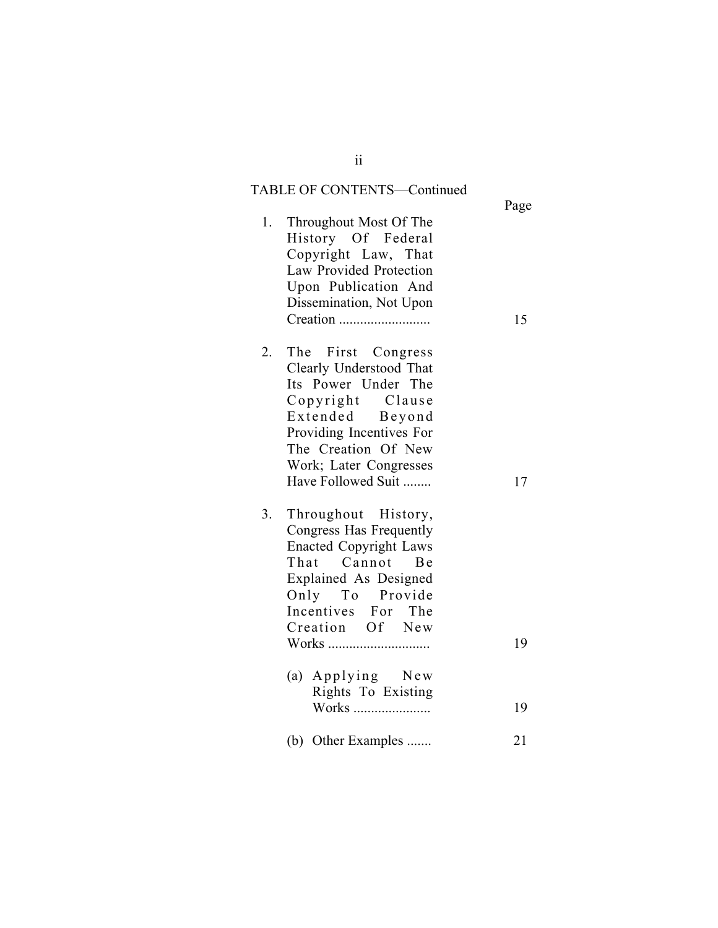# TABLE OF CONTENTS—Continued

|    |                                                                                                                                                                                                                | Page |
|----|----------------------------------------------------------------------------------------------------------------------------------------------------------------------------------------------------------------|------|
| 1. | Throughout Most Of The<br>History Of Federal<br>Copyright Law, That<br>Law Provided Protection<br>Upon Publication And<br>Dissemination, Not Upon                                                              | 15   |
| 2. | The First Congress<br>Clearly Understood That<br>Its Power Under The<br>Copyright Clause<br>Extended Beyond<br>Providing Incentives For<br>The Creation Of New<br>Work; Later Congresses<br>Have Followed Suit | 17   |
| 3. | Throughout History,<br>Congress Has Frequently<br><b>Enacted Copyright Laws</b><br>That Cannot Be<br>Explained As Designed<br>Only To Provide<br>Incentives For The<br>Creation Of New<br>Works                | 19   |
|    | (a) Applying New<br>Rights To Existing                                                                                                                                                                         |      |
|    | Works                                                                                                                                                                                                          | 19   |
|    | (b) Other Examples                                                                                                                                                                                             | 21   |

### ii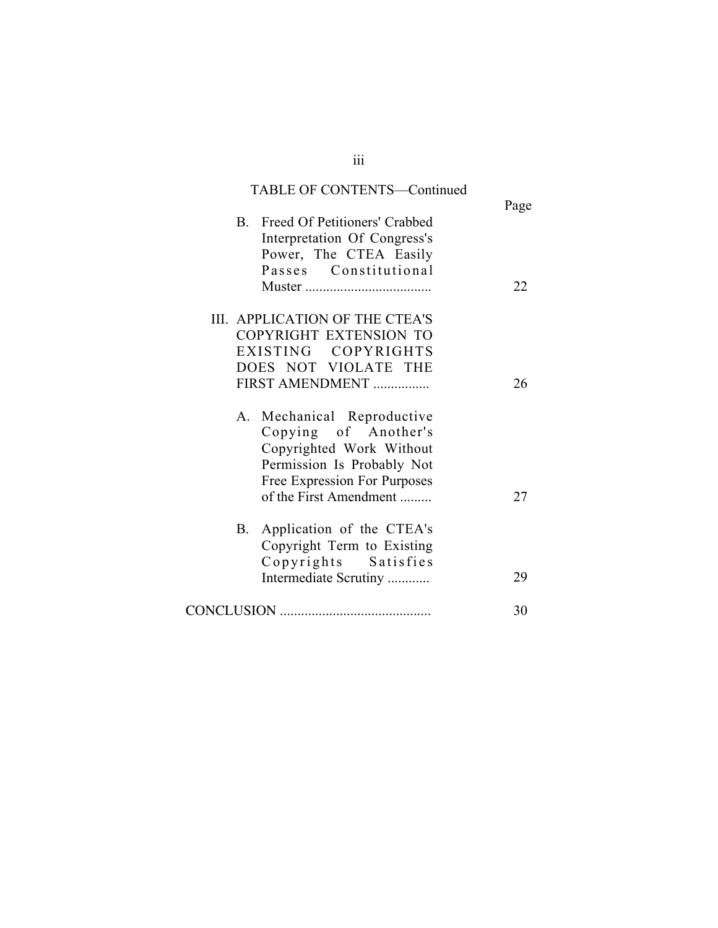|                | <b>TABLE OF CONTENTS-Continued</b> | Page |
|----------------|------------------------------------|------|
| $\mathbf{B}$ . | Freed Of Petitioners' Crabbed      |      |
|                | Interpretation Of Congress's       |      |
|                | Power, The CTEA Easily             |      |
|                | Passes Constitutional              |      |
|                |                                    | 22   |
|                | III. APPLICATION OF THE CTEA'S     |      |
|                | COPYRIGHT EXTENSION TO             |      |
|                | EXISTING COPYRIGHTS                |      |
|                | DOES NOT VIOLATE THE               |      |
|                | FIRST AMENDMENT                    | 26   |
|                | A. Mechanical Reproductive         |      |
|                | Copying of Another's               |      |
|                | Copyrighted Work Without           |      |
|                | Permission Is Probably Not         |      |
|                | Free Expression For Purposes       |      |
|                | of the First Amendment             | 27   |
| <b>B</b> .     | Application of the CTEA's          |      |
|                | Copyright Term to Existing         |      |
|                | Copyrights Satisfies               |      |
|                | Intermediate Scrutiny              | 29   |
|                |                                    |      |
|                |                                    | 30   |

iii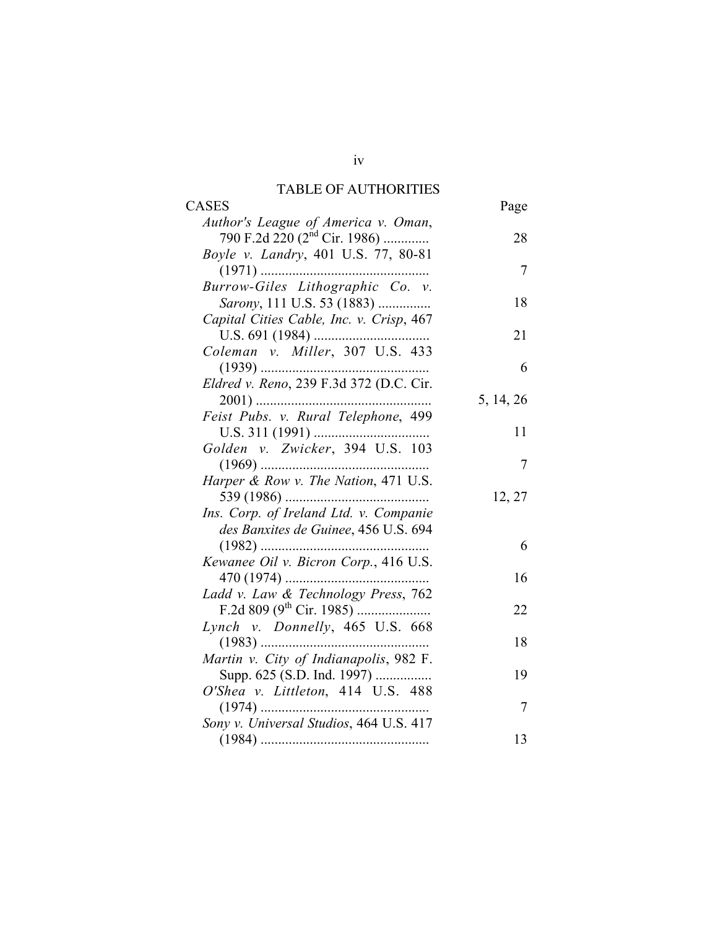### TABLE OF AUTHORITIES

| CASES                                                                    | Page      |
|--------------------------------------------------------------------------|-----------|
| Author's League of America v. Oman,<br>790 F.2d 220 $(2^{nd}$ Cir. 1986) | 28        |
| Boyle v. Landry, 401 U.S. 77, 80-81                                      |           |
|                                                                          | 7         |
| Burrow-Giles Lithographic Co. v.<br>Sarony, 111 U.S. 53 (1883)           | 18        |
| Capital Cities Cable, Inc. v. Crisp, 467                                 |           |
|                                                                          | 21        |
| Coleman v. Miller, 307 U.S. 433                                          | 6         |
| Eldred v. Reno, 239 F.3d 372 (D.C. Cir.                                  |           |
|                                                                          | 5, 14, 26 |
|                                                                          |           |
|                                                                          | 11        |
| Golden v. Zwicker, 394 U.S. 103                                          | 7         |
| Harper & Row v. The Nation, 471 U.S.                                     |           |
|                                                                          | 12, 27    |
| Ins. Corp. of Ireland Ltd. v. Companie                                   |           |
| des Banxites de Guinee, 456 U.S. 694                                     |           |
|                                                                          | 6         |
| Kewanee Oil v. Bicron Corp., 416 U.S.                                    |           |
|                                                                          | 16        |
| Ladd v. Law & Technology Press, 762                                      |           |
| F.2d 809 ( $9^{\text{th}}$ Cir. 1985)                                    | 22        |
| Lynch v. Donnelly, 465 U.S. 668                                          | 18        |
| Martin v. City of Indianapolis, 982 F.                                   |           |
| Supp. 625 (S.D. Ind. 1997)                                               | 19        |
| O'Shea v. Littleton, 414 U.S. 488                                        |           |
|                                                                          | 7         |
|                                                                          |           |
|                                                                          | 13        |
|                                                                          |           |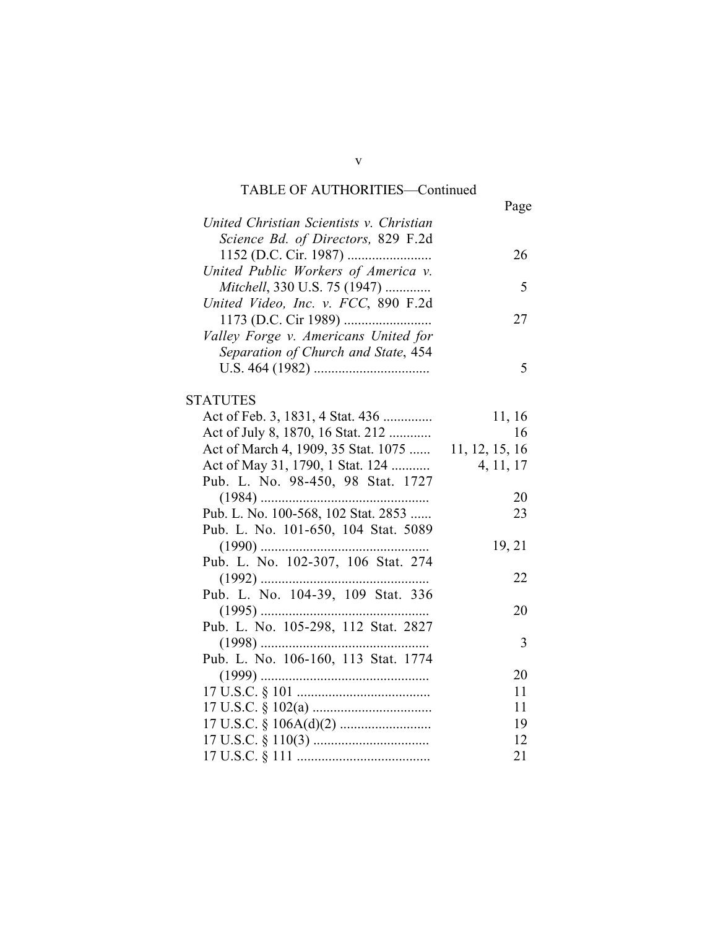# TABLE OF AUTHORITIES—Continued

|                                          | Page           |
|------------------------------------------|----------------|
| United Christian Scientists v. Christian |                |
| Science Bd. of Directors, 829 F.2d       |                |
|                                          | 26             |
| United Public Workers of America v.      |                |
| Mitchell, 330 U.S. 75 (1947)             | 5              |
| United Video, Inc. v. FCC, 890 F.2d      |                |
|                                          | 27             |
| Valley Forge v. Americans United for     |                |
| Separation of Church and State, 454      |                |
|                                          | 5              |
|                                          |                |
| <b>STATUTES</b>                          |                |
| Act of Feb. 3, 1831, 4 Stat. 436         | 11, 16         |
| Act of July 8, 1870, 16 Stat. 212        | 16             |
| Act of March 4, 1909, 35 Stat. 1075      | 11, 12, 15, 16 |
| Act of May 31, 1790, 1 Stat. 124         | 4, 11, 17      |
| Pub. L. No. 98-450, 98 Stat. 1727        |                |
|                                          | 20             |
| Pub. L. No. 100-568, 102 Stat. 2853      | 23             |
| Pub. L. No. 101-650, 104 Stat. 5089      |                |
|                                          | 19, 21         |
| Pub. L. No. 102-307, 106 Stat. 274       |                |
|                                          | 22             |
| Pub. L. No. 104-39, 109 Stat. 336        |                |
|                                          | 20             |
| Pub. L. No. 105-298, 112 Stat. 2827      |                |
|                                          | 3              |
| Pub. L. No. 106-160, 113 Stat. 1774      |                |
|                                          | 20             |
|                                          | 11             |
|                                          | 11             |
|                                          | 19             |
|                                          | 12             |
|                                          | 21             |

v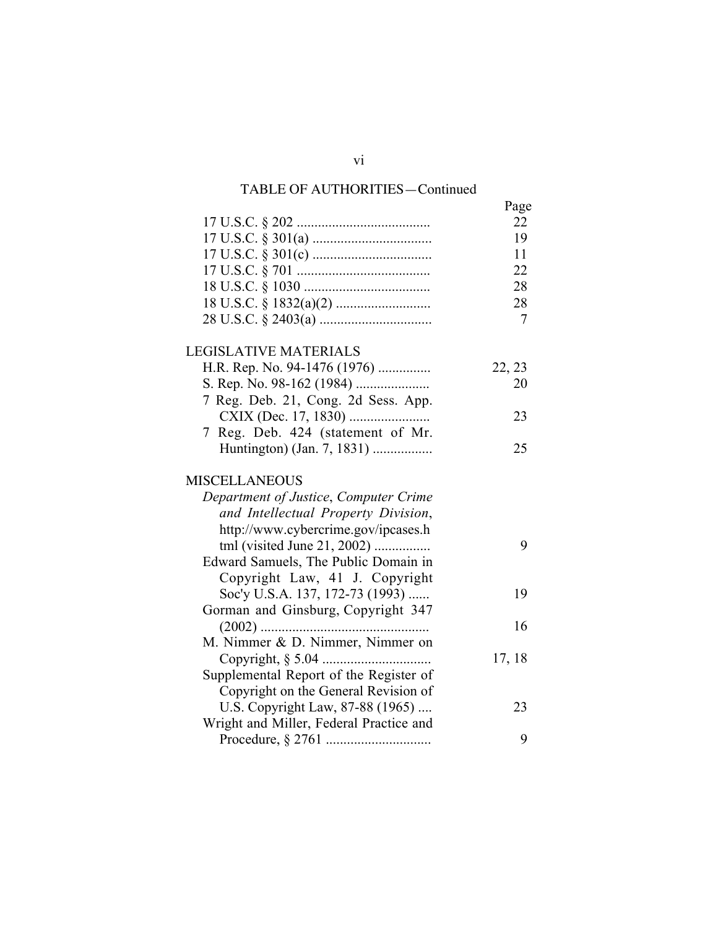# TABLE OF AUTHORITIES—Continued

|                                         | Page   |
|-----------------------------------------|--------|
|                                         | 22     |
|                                         | 19     |
|                                         | 11     |
|                                         | 22     |
|                                         | 28     |
|                                         | 28     |
|                                         | 7      |
| LEGISLATIVE MATERIALS                   |        |
| H.R. Rep. No. 94-1476 (1976)            | 22, 23 |
|                                         | 20     |
| 7 Reg. Deb. 21, Cong. 2d Sess. App.     |        |
|                                         | 23     |
| 7 Reg. Deb. 424 (statement of Mr.       |        |
| Huntington) (Jan. 7, 1831)              | 25     |
| MISCELLANEOUS                           |        |
| Department of Justice, Computer Crime   |        |
| and Intellectual Property Division,     |        |
| http://www.cybercrime.gov/ipcases.h     |        |
| tml (visited June 21, 2002)             | 9      |
| Edward Samuels, The Public Domain in    |        |
| Copyright Law, 41 J. Copyright          |        |
| Soc'y U.S.A. 137, 172-73 (1993)         | 19     |
| Gorman and Ginsburg, Copyright 347      |        |
|                                         | 16     |
| M. Nimmer & D. Nimmer, Nimmer on        |        |
| Copyright, § 5.04                       | 17, 18 |
| Supplemental Report of the Register of  |        |
| Copyright on the General Revision of    |        |
| U.S. Copyright Law, 87-88 (1965)        | 23     |
| Wright and Miller, Federal Practice and |        |
|                                         | 9      |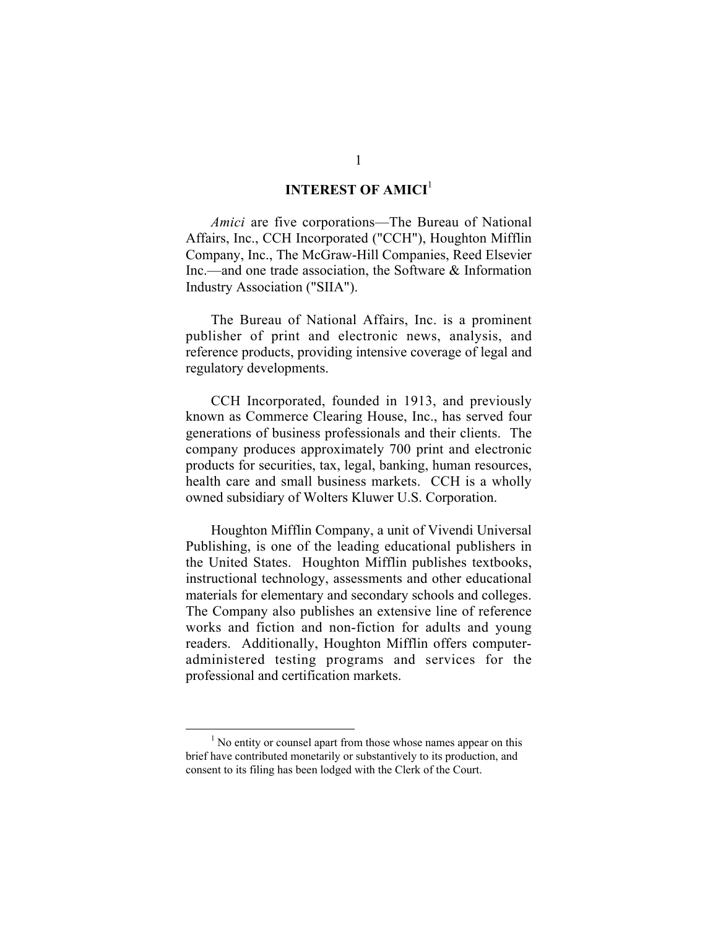### **INTEREST OF AMICI<sup>1</sup>**

*Amici* are five corporations—The Bureau of National Affairs, Inc., CCH Incorporated ("CCH"), Houghton Mifflin Company, Inc., The McGraw-Hill Companies, Reed Elsevier Inc.—and one trade association, the Software & Information Industry Association ("SIIA").

The Bureau of National Affairs, Inc. is a prominent publisher of print and electronic news, analysis, and reference products, providing intensive coverage of legal and regulatory developments.

CCH Incorporated, founded in 1913, and previously known as Commerce Clearing House, Inc., has served four generations of business professionals and their clients. The company produces approximately 700 print and electronic products for securities, tax, legal, banking, human resources, health care and small business markets. CCH is a wholly owned subsidiary of Wolters Kluwer U.S. Corporation.

Houghton Mifflin Company, a unit of Vivendi Universal Publishing, is one of the leading educational publishers in the United States. Houghton Mifflin publishes textbooks, instructional technology, assessments and other educational materials for elementary and secondary schools and colleges. The Company also publishes an extensive line of reference works and fiction and non-fiction for adults and young readers. Additionally, Houghton Mifflin offers computeradministered testing programs and services for the professional and certification markets.

 <sup>1</sup>  $<sup>1</sup>$  No entity or counsel apart from those whose names appear on this</sup> brief have contributed monetarily or substantively to its production, and consent to its filing has been lodged with the Clerk of the Court.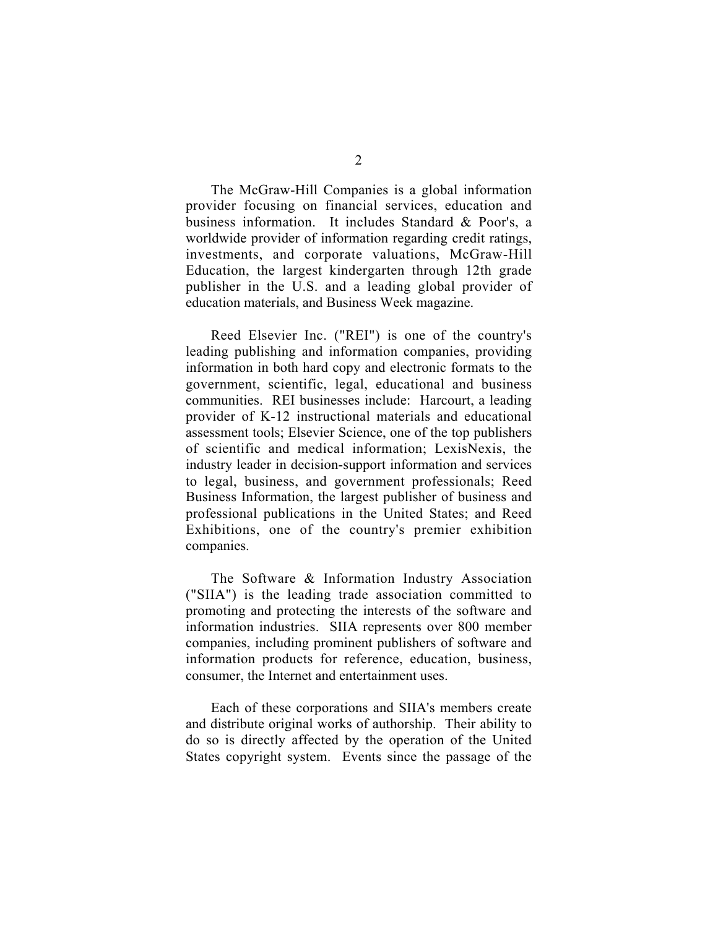The McGraw-Hill Companies is a global information provider focusing on financial services, education and business information. It includes Standard & Poor's, a worldwide provider of information regarding credit ratings, investments, and corporate valuations, McGraw-Hill Education, the largest kindergarten through 12th grade publisher in the U.S. and a leading global provider of education materials, and Business Week magazine.

Reed Elsevier Inc. ("REI") is one of the country's leading publishing and information companies, providing information in both hard copy and electronic formats to the government, scientific, legal, educational and business communities. REI businesses include: Harcourt, a leading provider of K-12 instructional materials and educational assessment tools; Elsevier Science, one of the top publishers of scientific and medical information; LexisNexis, the industry leader in decision-support information and services to legal, business, and government professionals; Reed Business Information, the largest publisher of business and professional publications in the United States; and Reed Exhibitions, one of the country's premier exhibition companies.

The Software & Information Industry Association ("SIIA") is the leading trade association committed to promoting and protecting the interests of the software and information industries. SIIA represents over 800 member companies, including prominent publishers of software and information products for reference, education, business, consumer, the Internet and entertainment uses.

Each of these corporations and SIIA's members create and distribute original works of authorship. Their ability to do so is directly affected by the operation of the United States copyright system. Events since the passage of the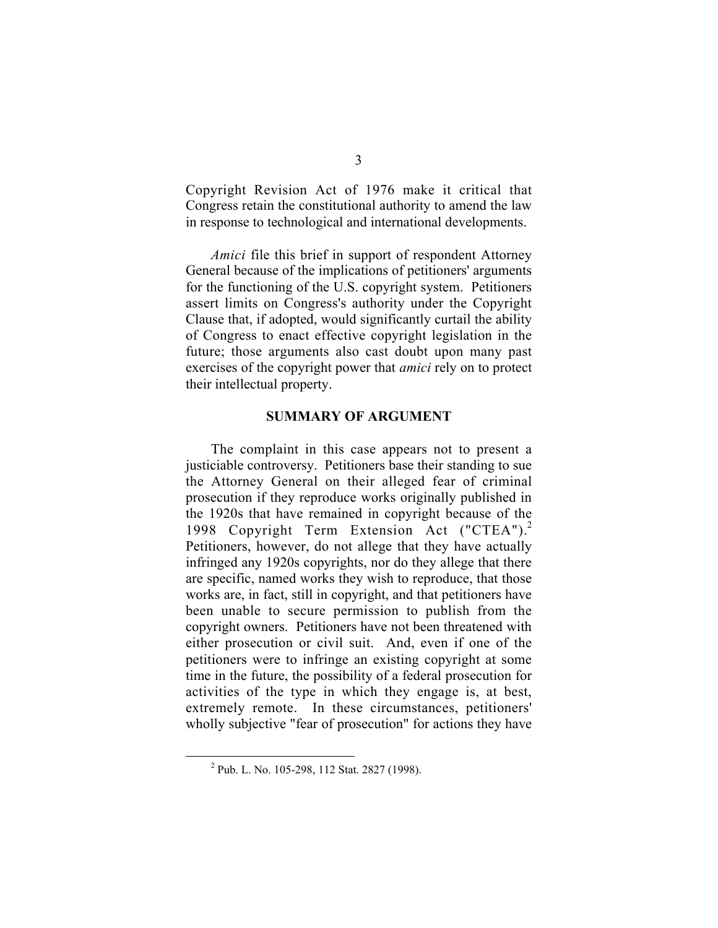Copyright Revision Act of 1976 make it critical that Congress retain the constitutional authority to amend the law in response to technological and international developments.

*Amici* file this brief in support of respondent Attorney General because of the implications of petitioners' arguments for the functioning of the U.S. copyright system. Petitioners assert limits on Congress's authority under the Copyright Clause that, if adopted, would significantly curtail the ability of Congress to enact effective copyright legislation in the future; those arguments also cast doubt upon many past exercises of the copyright power that *amici* rely on to protect their intellectual property.

#### **SUMMARY OF ARGUMENT**

The complaint in this case appears not to present a justiciable controversy. Petitioners base their standing to sue the Attorney General on their alleged fear of criminal prosecution if they reproduce works originally published in the 1920s that have remained in copyright because of the 1998 Copyright Term Extension Act ("CTEA").<sup>2</sup> Petitioners, however, do not allege that they have actually infringed any 1920s copyrights, nor do they allege that there are specific, named works they wish to reproduce, that those works are, in fact, still in copyright, and that petitioners have been unable to secure permission to publish from the copyright owners. Petitioners have not been threatened with either prosecution or civil suit. And, even if one of the petitioners were to infringe an existing copyright at some time in the future, the possibility of a federal prosecution for activities of the type in which they engage is, at best, extremely remote. In these circumstances, petitioners' wholly subjective "fear of prosecution" for actions they have

 <sup>2</sup> <sup>2</sup> Pub. L. No. 105-298, 112 Stat. 2827 (1998).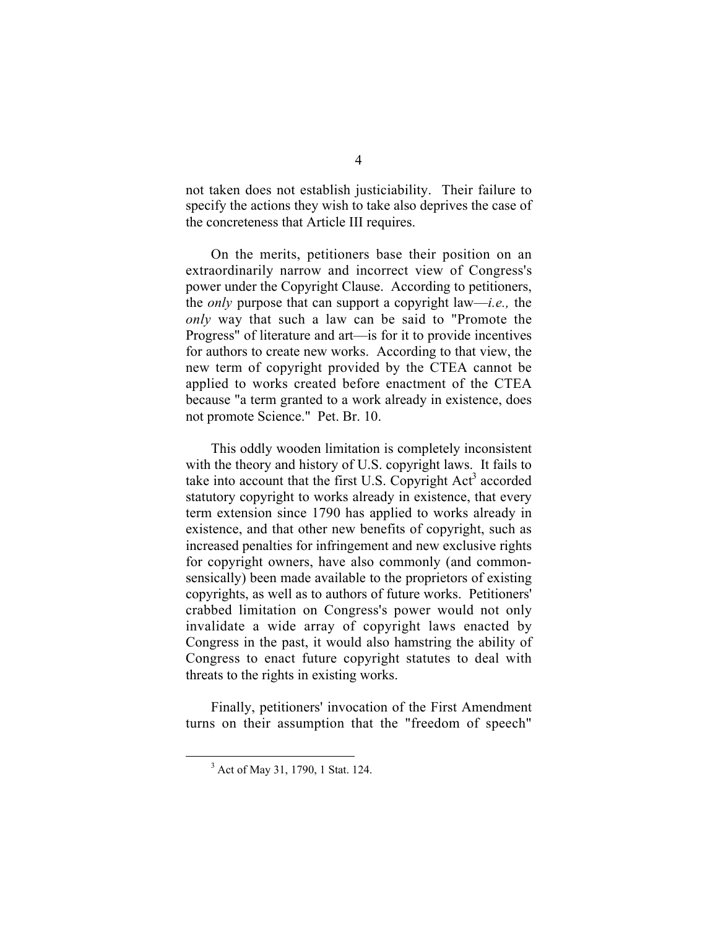not taken does not establish justiciability. Their failure to specify the actions they wish to take also deprives the case of the concreteness that Article III requires.

On the merits, petitioners base their position on an extraordinarily narrow and incorrect view of Congress's power under the Copyright Clause. According to petitioners, the *only* purpose that can support a copyright law—*i.e.,* the *only* way that such a law can be said to "Promote the Progress" of literature and art—is for it to provide incentives for authors to create new works. According to that view, the new term of copyright provided by the CTEA cannot be applied to works created before enactment of the CTEA because "a term granted to a work already in existence, does not promote Science." Pet. Br. 10.

This oddly wooden limitation is completely inconsistent with the theory and history of U.S. copyright laws. It fails to take into account that the first U.S. Copyright  $Act<sup>3</sup>$  accorded statutory copyright to works already in existence, that every term extension since 1790 has applied to works already in existence, and that other new benefits of copyright, such as increased penalties for infringement and new exclusive rights for copyright owners, have also commonly (and commonsensically) been made available to the proprietors of existing copyrights, as well as to authors of future works. Petitioners' crabbed limitation on Congress's power would not only invalidate a wide array of copyright laws enacted by Congress in the past, it would also hamstring the ability of Congress to enact future copyright statutes to deal with threats to the rights in existing works.

Finally, petitioners' invocation of the First Amendment turns on their assumption that the "freedom of speech"

 $\frac{1}{3}$ <sup>3</sup> Act of May 31, 1790, 1 Stat. 124.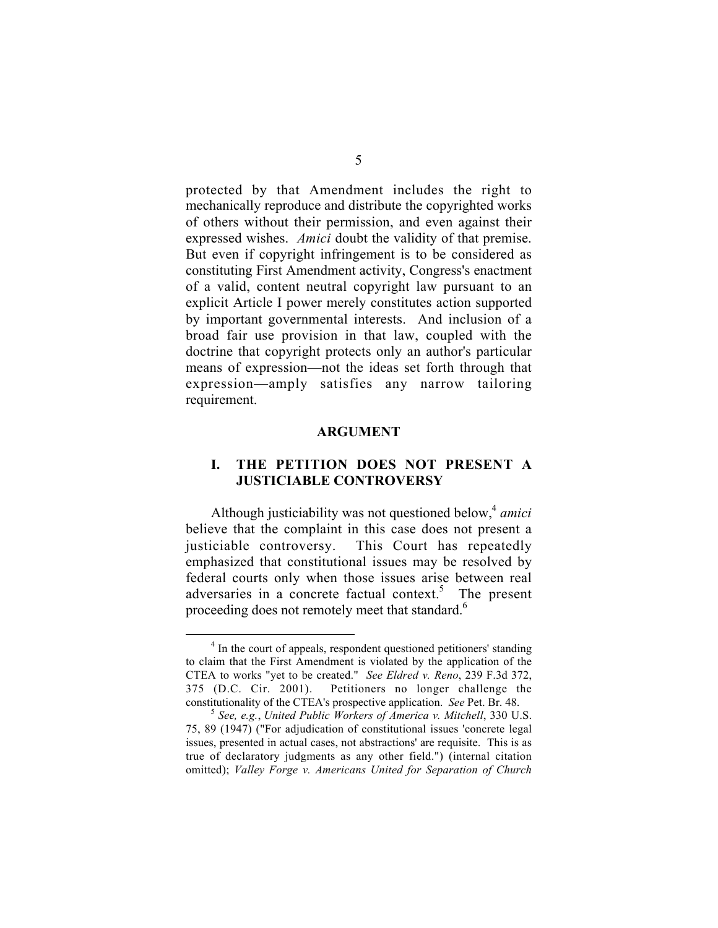protected by that Amendment includes the right to mechanically reproduce and distribute the copyrighted works of others without their permission, and even against their expressed wishes. *Amici* doubt the validity of that premise. But even if copyright infringement is to be considered as constituting First Amendment activity, Congress's enactment of a valid, content neutral copyright law pursuant to an explicit Article I power merely constitutes action supported by important governmental interests. And inclusion of a broad fair use provision in that law, coupled with the doctrine that copyright protects only an author's particular means of expression—not the ideas set forth through that expression—amply satisfies any narrow tailoring requirement.

#### **ARGUMENT**

#### **I. THE PETITION DOES NOT PRESENT A JUSTICIABLE CONTROVERSY**

Although justiciability was not questioned below,<sup>4</sup> *amici* believe that the complaint in this case does not present a justiciable controversy. This Court has repeatedly emphasized that constitutional issues may be resolved by federal courts only when those issues arise between real adversaries in a concrete factual context.<sup>5</sup> The present proceeding does not remotely meet that standard.<sup>6</sup>

<sup>&</sup>lt;sup>4</sup> In the court of appeals, respondent questioned petitioners' standing to claim that the First Amendment is violated by the application of the CTEA to works "yet to be created." *See Eldred v. Reno*, 239 F.3d 372, 375 (D.C. Cir. 2001). Petitioners no longer challenge the constitutionality of the CTEA's prospective application. *See* Pet. Br. 48. <sup>5</sup> *See, e.g.*, *United Public Workers of America v. Mitchell*, 330 U.S.

<sup>75, 89 (1947) (&</sup>quot;For adjudication of constitutional issues 'concrete legal issues, presented in actual cases, not abstractions' are requisite. This is as true of declaratory judgments as any other field.") (internal citation omitted); *Valley Forge v. Americans United for Separation of Church*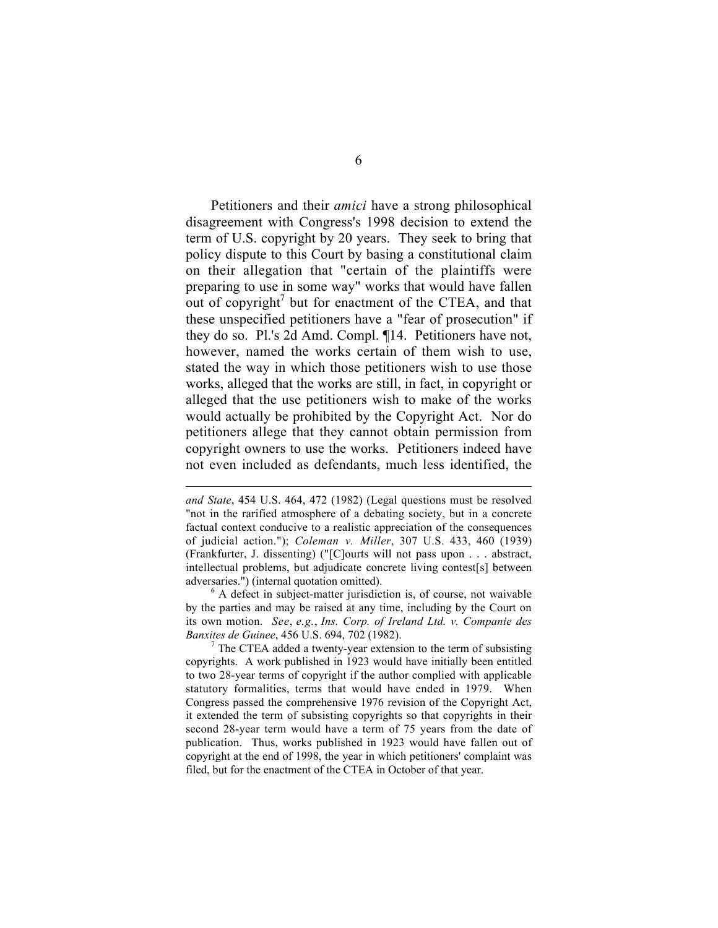Petitioners and their *amici* have a strong philosophical disagreement with Congress's 1998 decision to extend the term of U.S. copyright by 20 years. They seek to bring that policy dispute to this Court by basing a constitutional claim on their allegation that "certain of the plaintiffs were preparing to use in some way" works that would have fallen out of copyright<sup>7</sup> but for enactment of the CTEA, and that these unspecified petitioners have a "fear of prosecution" if they do so. Pl.'s 2d Amd. Compl. ¶14. Petitioners have not, however, named the works certain of them wish to use, stated the way in which those petitioners wish to use those works, alleged that the works are still, in fact, in copyright or alleged that the use petitioners wish to make of the works would actually be prohibited by the Copyright Act. Nor do petitioners allege that they cannot obtain permission from copyright owners to use the works. Petitioners indeed have not even included as defendants, much less identified, the

 $\overline{a}$ 

by the parties and may be raised at any time, including by the Court on its own motion. *See*, *e.g.*, *Ins. Corp. of Ireland Ltd. v. Companie des Banxites de Guinee*, 456 U.S. 694, 702 (1982).<br><sup>7</sup> The CTEA added a twenty-year extension to the term of subsisting

copyrights. A work published in 1923 would have initially been entitled to two 28-year terms of copyright if the author complied with applicable statutory formalities, terms that would have ended in 1979. When Congress passed the comprehensive 1976 revision of the Copyright Act, it extended the term of subsisting copyrights so that copyrights in their second 28-year term would have a term of 75 years from the date of publication. Thus, works published in 1923 would have fallen out of copyright at the end of 1998, the year in which petitioners' complaint was filed, but for the enactment of the CTEA in October of that year.

*and State*, 454 U.S. 464, 472 (1982) (Legal questions must be resolved "not in the rarified atmosphere of a debating society, but in a concrete factual context conducive to a realistic appreciation of the consequences of judicial action."); *Coleman v. Miller*, 307 U.S. 433, 460 (1939) (Frankfurter, J. dissenting) ("[C]ourts will not pass upon . . . abstract, intellectual problems, but adjudicate concrete living contest[s] between adversaries.") (internal quotation omitted).<br><sup>6</sup> A defect in subject-matter jurisdiction is, of course, not waivable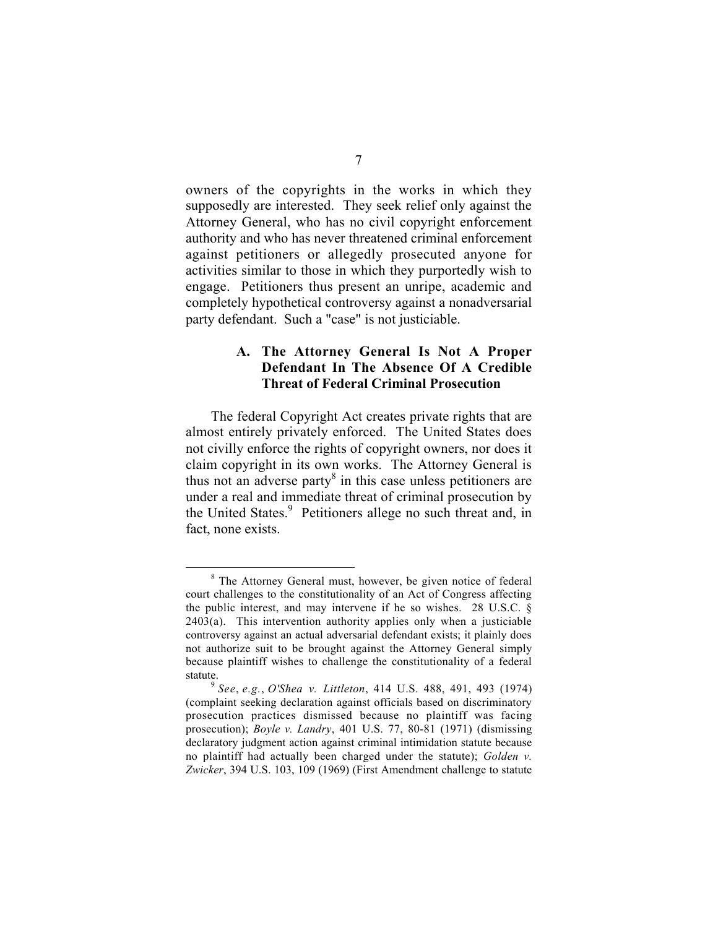owners of the copyrights in the works in which they supposedly are interested. They seek relief only against the Attorney General, who has no civil copyright enforcement authority and who has never threatened criminal enforcement against petitioners or allegedly prosecuted anyone for activities similar to those in which they purportedly wish to engage. Petitioners thus present an unripe, academic and completely hypothetical controversy against a nonadversarial party defendant. Such a "case" is not justiciable.

#### **A. The Attorney General Is Not A Proper Defendant In The Absence Of A Credible Threat of Federal Criminal Prosecution**

The federal Copyright Act creates private rights that are almost entirely privately enforced. The United States does not civilly enforce the rights of copyright owners, nor does it claim copyright in its own works. The Attorney General is thus not an adverse party $8$  in this case unless petitioners are under a real and immediate threat of criminal prosecution by the United States.<sup>9</sup> Petitioners allege no such threat and, in fact, none exists.

<sup>&</sup>lt;sup>8</sup> The Attorney General must, however, be given notice of federal court challenges to the constitutionality of an Act of Congress affecting the public interest, and may intervene if he so wishes. 28 U.S.C. § 2403(a). This intervention authority applies only when a justiciable controversy against an actual adversarial defendant exists; it plainly does not authorize suit to be brought against the Attorney General simply because plaintiff wishes to challenge the constitutionality of a federal statute. <sup>9</sup> *See*, *e.g.*, *O'Shea v. Littleton*, 414 U.S. 488, 491, 493 (1974)

<sup>(</sup>complaint seeking declaration against officials based on discriminatory prosecution practices dismissed because no plaintiff was facing prosecution); *Boyle v. Landry*, 401 U.S. 77, 80-81 (1971) (dismissing declaratory judgment action against criminal intimidation statute because no plaintiff had actually been charged under the statute); *Golden v. Zwicker*, 394 U.S. 103, 109 (1969) (First Amendment challenge to statute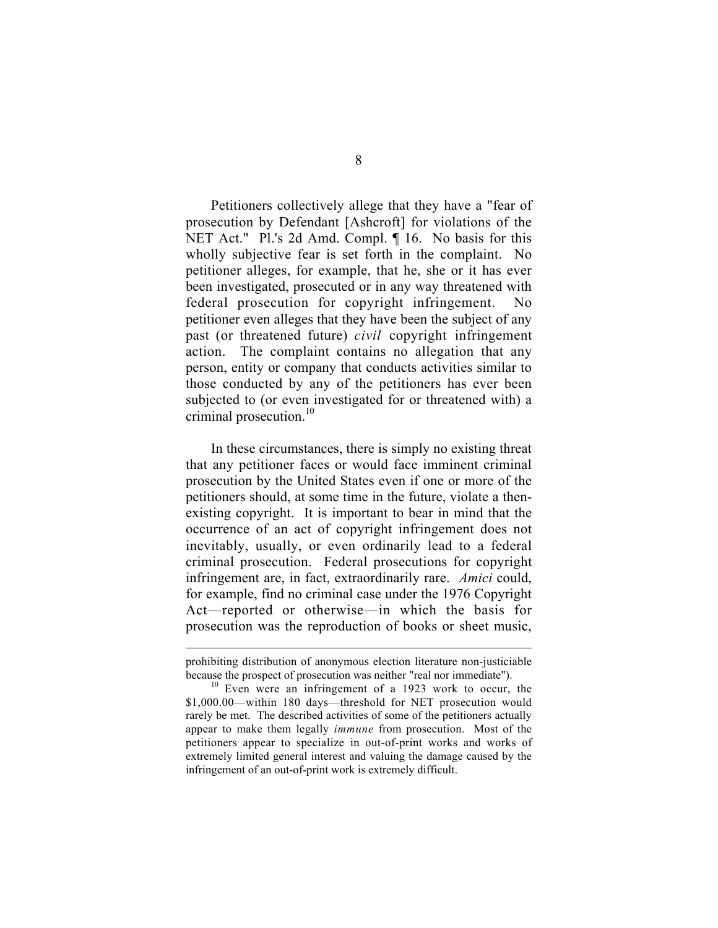Petitioners collectively allege that they have a "fear of prosecution by Defendant [Ashcroft] for violations of the NET Act." Pl.'s 2d Amd. Compl. ¶ 16. No basis for this wholly subjective fear is set forth in the complaint. No petitioner alleges, for example, that he, she or it has ever been investigated, prosecuted or in any way threatened with federal prosecution for copyright infringement. No petitioner even alleges that they have been the subject of any past (or threatened future) *civil* copyright infringement action. The complaint contains no allegation that any person, entity or company that conducts activities similar to those conducted by any of the petitioners has ever been subjected to (or even investigated for or threatened with) a criminal prosecution.<sup>10</sup>

In these circumstances, there is simply no existing threat that any petitioner faces or would face imminent criminal prosecution by the United States even if one or more of the petitioners should, at some time in the future, violate a thenexisting copyright. It is important to bear in mind that the occurrence of an act of copyright infringement does not inevitably, usually, or even ordinarily lead to a federal criminal prosecution. Federal prosecutions for copyright infringement are, in fact, extraordinarily rare. *Amici* could, for example, find no criminal case under the 1976 Copyright Act—reported or otherwise—in which the basis for prosecution was the reproduction of books or sheet music,

prohibiting distribution of anonymous election literature non-justiciable because the prospect of prosecution was neither "real nor immediate"). <sup>10</sup> Even were an infringement of a 1923 work to occur, the

<sup>\$1,000.00—</sup>within 180 days—threshold for NET prosecution would rarely be met. The described activities of some of the petitioners actually appear to make them legally *immune* from prosecution. Most of the petitioners appear to specialize in out-of-print works and works of extremely limited general interest and valuing the damage caused by the infringement of an out-of-print work is extremely difficult.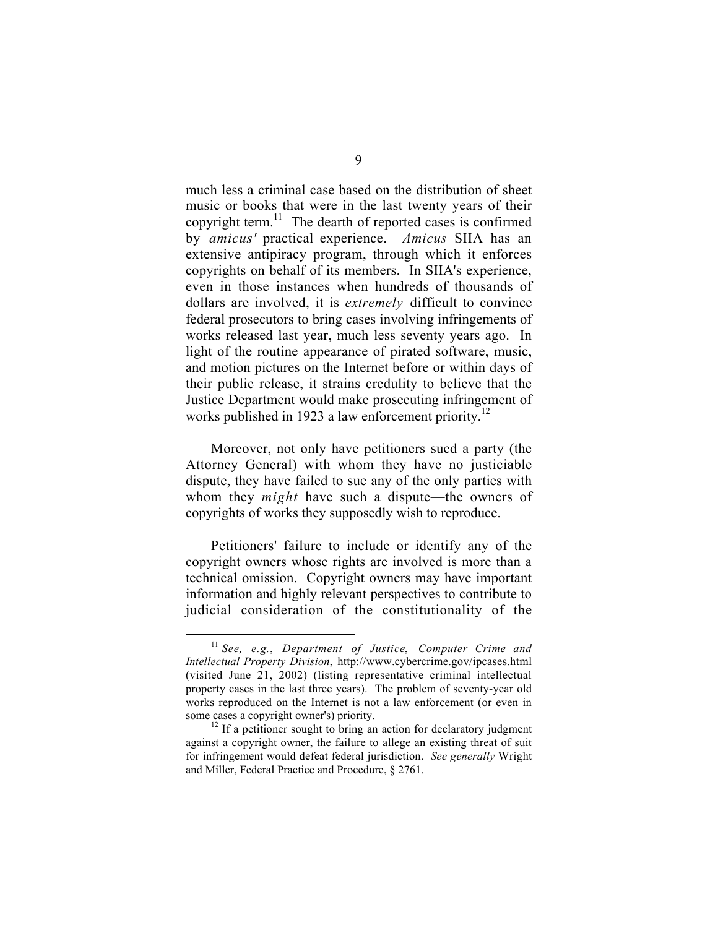much less a criminal case based on the distribution of sheet music or books that were in the last twenty years of their copyright term. $11$  The dearth of reported cases is confirmed by *amicus'* practical experience. *Amicus* SIIA has an extensive antipiracy program, through which it enforces copyrights on behalf of its members. In SIIA's experience, even in those instances when hundreds of thousands of dollars are involved, it is *extremely* difficult to convince federal prosecutors to bring cases involving infringements of works released last year, much less seventy years ago. In light of the routine appearance of pirated software, music, and motion pictures on the Internet before or within days of their public release, it strains credulity to believe that the Justice Department would make prosecuting infringement of works published in 1923 a law enforcement priority.<sup>12</sup>

Moreover, not only have petitioners sued a party (the Attorney General) with whom they have no justiciable dispute, they have failed to sue any of the only parties with whom they *might* have such a dispute—the owners of copyrights of works they supposedly wish to reproduce.

Petitioners' failure to include or identify any of the copyright owners whose rights are involved is more than a technical omission. Copyright owners may have important information and highly relevant perspectives to contribute to judicial consideration of the constitutionality of the

 <sup>11</sup> *See, e.g.*, *Department of Justice*, *Computer Crime and Intellectual Property Division*, http://www.cybercrime.gov/ipcases.html (visited June 21, 2002) (listing representative criminal intellectual property cases in the last three years). The problem of seventy-year old works reproduced on the Internet is not a law enforcement (or even in some cases a copyright owner's) priority.<br><sup>12</sup> If a petitioner sought to bring an action for declaratory judgment

against a copyright owner, the failure to allege an existing threat of suit for infringement would defeat federal jurisdiction. *See generally* Wright and Miller, Federal Practice and Procedure, § 2761.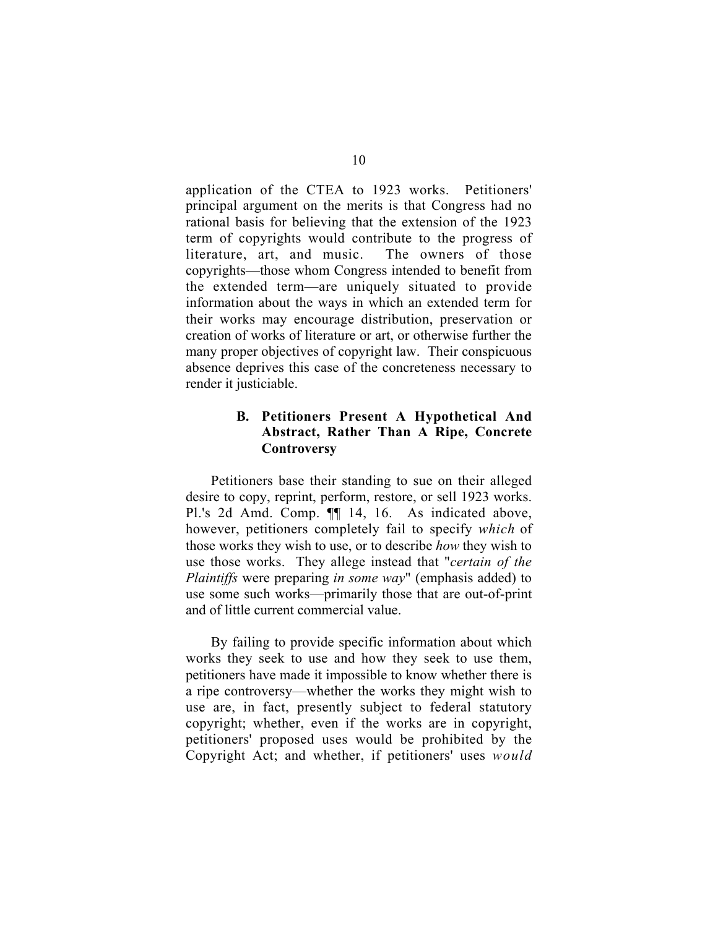application of the CTEA to 1923 works. Petitioners' principal argument on the merits is that Congress had no rational basis for believing that the extension of the 1923 term of copyrights would contribute to the progress of literature, art, and music. The owners of those copyrights—those whom Congress intended to benefit from the extended term—are uniquely situated to provide information about the ways in which an extended term for their works may encourage distribution, preservation or creation of works of literature or art, or otherwise further the many proper objectives of copyright law. Their conspicuous absence deprives this case of the concreteness necessary to render it justiciable.

#### **B. Petitioners Present A Hypothetical And Abstract, Rather Than A Ripe, Concrete Controversy**

Petitioners base their standing to sue on their alleged desire to copy, reprint, perform, restore, or sell 1923 works. Pl.'s 2d Amd. Comp.  $\P$  14, 16. As indicated above, however, petitioners completely fail to specify *which* of those works they wish to use, or to describe *how* they wish to use those works. They allege instead that "*certain of the Plaintiffs* were preparing *in some way*" (emphasis added) to use some such works—primarily those that are out-of-print and of little current commercial value.

By failing to provide specific information about which works they seek to use and how they seek to use them, petitioners have made it impossible to know whether there is a ripe controversy—whether the works they might wish to use are, in fact, presently subject to federal statutory copyright; whether, even if the works are in copyright, petitioners' proposed uses would be prohibited by the Copyright Act; and whether, if petitioners' uses *would*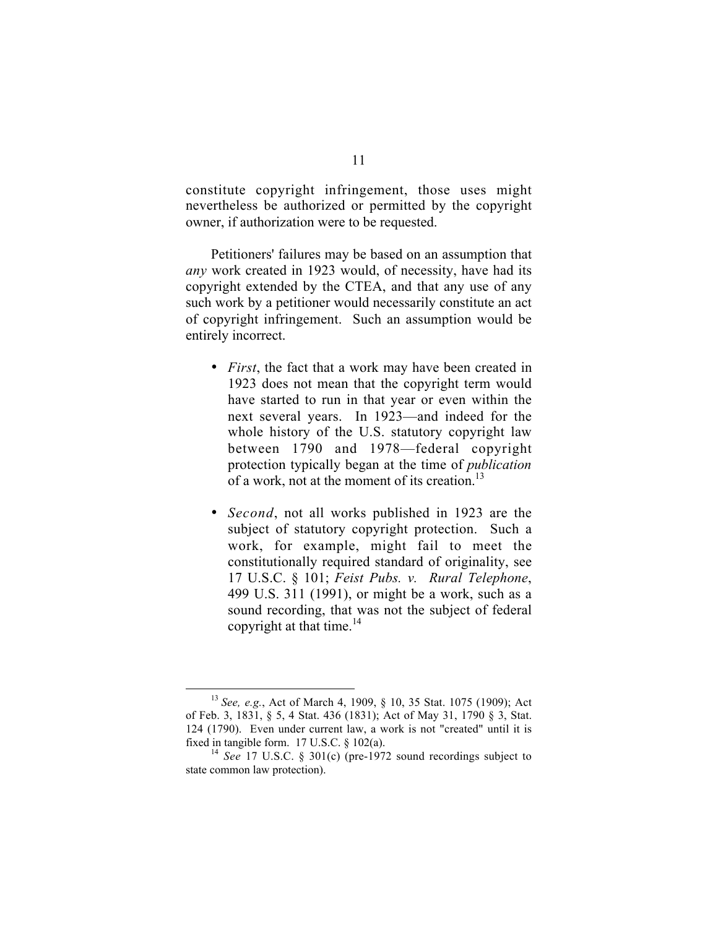constitute copyright infringement, those uses might nevertheless be authorized or permitted by the copyright owner, if authorization were to be requested.

Petitioners' failures may be based on an assumption that *any* work created in 1923 would, of necessity, have had its copyright extended by the CTEA, and that any use of any such work by a petitioner would necessarily constitute an act of copyright infringement. Such an assumption would be entirely incorrect.

> *First*, the fact that a work may have been created in 1923 does not mean that the copyright term would have started to run in that year or even within the next several years. In 1923—and indeed for the whole history of the U.S. statutory copyright law between 1790 and 1978—federal copyright protection typically began at the time of *publication* of a work, not at the moment of its creation.<sup>13</sup>

> *Second*, not all works published in 1923 are the subject of statutory copyright protection. Such a work, for example, might fail to meet the constitutionally required standard of originality, see 17 U.S.C. § 101; *Feist Pubs. v. Rural Telephone*, 499 U.S. 311 (1991), or might be a work, such as a sound recording, that was not the subject of federal copyright at that time. $14$

 <sup>13</sup> *See, e.g.*, Act of March 4, 1909, § 10, 35 Stat. 1075 (1909); Act of Feb. 3, 1831, § 5, 4 Stat. 436 (1831); Act of May 31, 1790 § 3, Stat. 124 (1790). Even under current law, a work is not "created" until it is fixed in tangible form. 17 U.S.C. § 102(a).<br><sup>14</sup> *See* 17 U.S.C. § 301(c) (pre-1972 sound recordings subject to

state common law protection).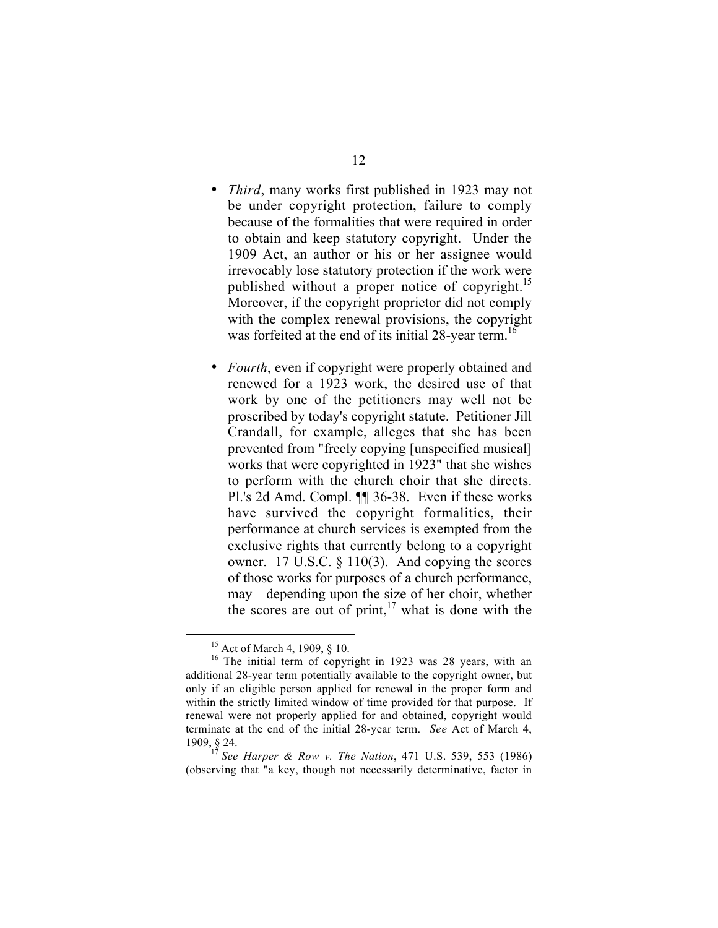*Third*, many works first published in 1923 may not be under copyright protection, failure to comply because of the formalities that were required in order to obtain and keep statutory copyright. Under the 1909 Act, an author or his or her assignee would irrevocably lose statutory protection if the work were published without a proper notice of copyright.<sup>15</sup> Moreover, if the copyright proprietor did not comply with the complex renewal provisions, the copyright was forfeited at the end of its initial 28-year term.<sup>16</sup>

*Fourth*, even if copyright were properly obtained and renewed for a 1923 work, the desired use of that work by one of the petitioners may well not be proscribed by today's copyright statute. Petitioner Jill Crandall, for example, alleges that she has been prevented from "freely copying [unspecified musical] works that were copyrighted in 1923" that she wishes to perform with the church choir that she directs. Pl.'s 2d Amd. Compl. ¶¶ 36-38. Even if these works have survived the copyright formalities, their performance at church services is exempted from the exclusive rights that currently belong to a copyright owner. 17 U.S.C. § 110(3). And copying the scores of those works for purposes of a church performance, may—depending upon the size of her choir, whether the scores are out of print, $17$  what is done with the

<sup>&</sup>lt;sup>15</sup> Act of March 4, 1909, § 10.

<sup>&</sup>lt;sup>16</sup> The initial term of copyright in 1923 was 28 years, with an additional 28-year term potentially available to the copyright owner, but only if an eligible person applied for renewal in the proper form and within the strictly limited window of time provided for that purpose. If renewal were not properly applied for and obtained, copyright would terminate at the end of the initial 28-year term. *See* Act of March 4, 1909, § 24. <sup>17</sup> *See Harper & Row v. The Nation*, 471 U.S. 539, 553 (1986)

<sup>(</sup>observing that "a key, though not necessarily determinative, factor in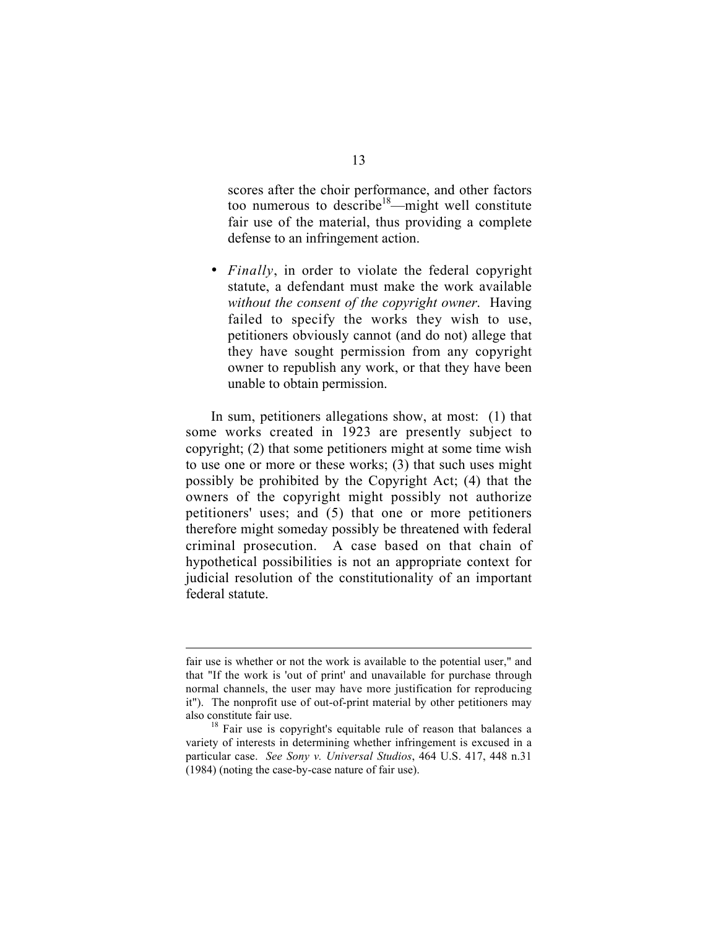scores after the choir performance, and other factors too numerous to describe<sup>18</sup>—might well constitute fair use of the material, thus providing a complete defense to an infringement action.

*Finally*, in order to violate the federal copyright statute, a defendant must make the work available *without the consent of the copyright owner*. Having failed to specify the works they wish to use, petitioners obviously cannot (and do not) allege that they have sought permission from any copyright owner to republish any work, or that they have been unable to obtain permission.

In sum, petitioners allegations show, at most: (1) that some works created in 1923 are presently subject to copyright; (2) that some petitioners might at some time wish to use one or more or these works; (3) that such uses might possibly be prohibited by the Copyright Act; (4) that the owners of the copyright might possibly not authorize petitioners' uses; and (5) that one or more petitioners therefore might someday possibly be threatened with federal criminal prosecution. A case based on that chain of hypothetical possibilities is not an appropriate context for judicial resolution of the constitutionality of an important federal statute.

fair use is whether or not the work is available to the potential user," and that "If the work is 'out of print' and unavailable for purchase through normal channels, the user may have more justification for reproducing it"). The nonprofit use of out-of-print material by other petitioners may also constitute fair use.<br><sup>18</sup> Fair use is copyright's equitable rule of reason that balances a

variety of interests in determining whether infringement is excused in a particular case. *See Sony v. Universal Studios*, 464 U.S. 417, 448 n.31 (1984) (noting the case-by-case nature of fair use).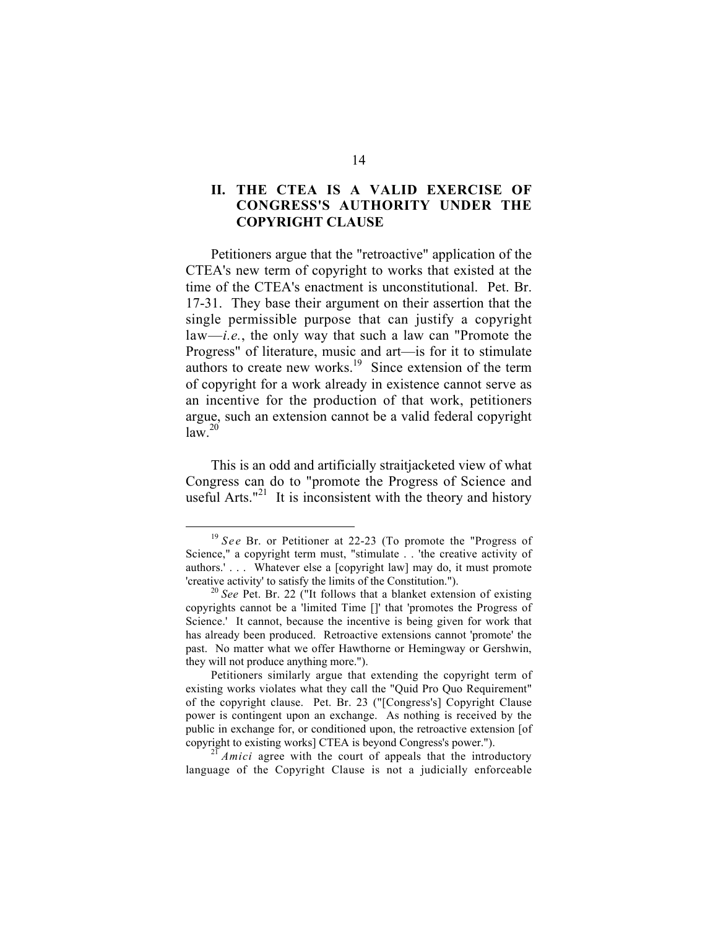### **II. THE CTEA IS A VALID EXERCISE OF CONGRESS'S AUTHORITY UNDER THE COPYRIGHT CLAUSE**

Petitioners argue that the "retroactive" application of the CTEA's new term of copyright to works that existed at the time of the CTEA's enactment is unconstitutional. Pet. Br. 17-31. They base their argument on their assertion that the single permissible purpose that can justify a copyright law—*i.e.*, the only way that such a law can "Promote the Progress" of literature, music and art—is for it to stimulate authors to create new works.<sup>19</sup> Since extension of the term of copyright for a work already in existence cannot serve as an incentive for the production of that work, petitioners argue, such an extension cannot be a valid federal copyright  $law<sup>20</sup>$ 

This is an odd and artificially straitjacketed view of what Congress can do to "promote the Progress of Science and useful Arts."<sup>21</sup> It is inconsistent with the theory and history

<sup>&</sup>lt;sup>19</sup> See Br. or Petitioner at 22-23 (To promote the "Progress of Science," a copyright term must, "stimulate . . 'the creative activity of authors.' . . . Whatever else a [copyright law] may do, it must promote 'creative activity' to satisfy the limits of the Constitution."). <sup>20</sup> *See* Pet. Br. 22 ("It follows that a blanket extension of existing

copyrights cannot be a 'limited Time []' that 'promotes the Progress of Science.' It cannot, because the incentive is being given for work that has already been produced. Retroactive extensions cannot 'promote' the past. No matter what we offer Hawthorne or Hemingway or Gershwin, they will not produce anything more.").

Petitioners similarly argue that extending the copyright term of existing works violates what they call the "Quid Pro Quo Requirement" of the copyright clause. Pet. Br. 23 ("[Congress's] Copyright Clause power is contingent upon an exchange. As nothing is received by the public in exchange for, or conditioned upon, the retroactive extension [of copyright to existing works] CTEA is beyond Congress's power.").

 $^{21}$  *Amici* agree with the court of appeals that the introductory. language of the Copyright Clause is not a judicially enforceable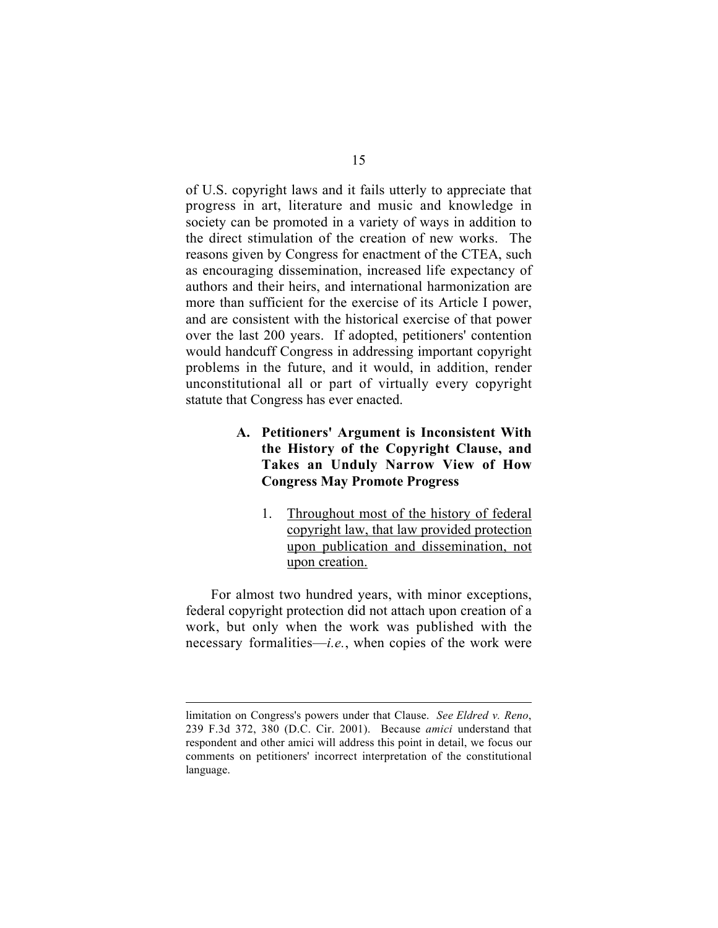of U.S. copyright laws and it fails utterly to appreciate that progress in art, literature and music and knowledge in society can be promoted in a variety of ways in addition to the direct stimulation of the creation of new works. The reasons given by Congress for enactment of the CTEA, such as encouraging dissemination, increased life expectancy of authors and their heirs, and international harmonization are more than sufficient for the exercise of its Article I power, and are consistent with the historical exercise of that power over the last 200 years. If adopted, petitioners' contention would handcuff Congress in addressing important copyright problems in the future, and it would, in addition, render unconstitutional all or part of virtually every copyright statute that Congress has ever enacted.

### **A. Petitioners' Argument is Inconsistent With the History of the Copyright Clause, and Takes an Unduly Narrow View of How Congress May Promote Progress**

1. Throughout most of the history of federal copyright law, that law provided protection upon publication and dissemination, not upon creation.

For almost two hundred years, with minor exceptions, federal copyright protection did not attach upon creation of a work, but only when the work was published with the necessary formalities—*i.e.*, when copies of the work were

limitation on Congress's powers under that Clause. *See Eldred v. Reno*, 239 F.3d 372, 380 (D.C. Cir. 2001). Because *amici* understand that respondent and other amici will address this point in detail, we focus our comments on petitioners' incorrect interpretation of the constitutional language.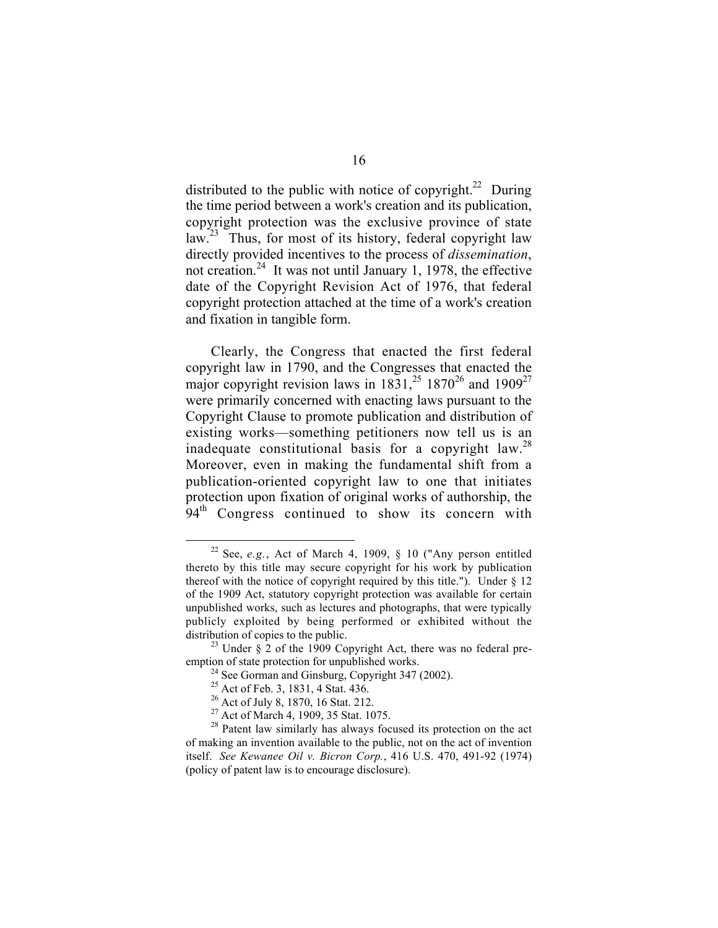distributed to the public with notice of copyright.<sup>22</sup> During the time period between a work's creation and its publication, copyright protection was the exclusive province of state law.<sup>23</sup> Thus, for most of its history, federal copyright law directly provided incentives to the process of *dissemination*, not creation.<sup>24</sup> It was not until January 1, 1978, the effective date of the Copyright Revision Act of 1976, that federal copyright protection attached at the time of a work's creation and fixation in tangible form.

Clearly, the Congress that enacted the first federal copyright law in 1790, and the Congresses that enacted the major copyright revision laws in  $1831$ ,<sup>25</sup> 1870<sup>26</sup> and 1909<sup>27</sup> were primarily concerned with enacting laws pursuant to the Copyright Clause to promote publication and distribution of existing works—something petitioners now tell us is an inadequate constitutional basis for a copyright law.<sup>28</sup> Moreover, even in making the fundamental shift from a publication-oriented copyright law to one that initiates protection upon fixation of original works of authorship, the  $94<sup>th</sup>$  Congress continued to show its concern with

 <sup>22</sup> See, *e.g.*, Act of March 4, 1909, § 10 ("Any person entitled thereto by this title may secure copyright for his work by publication thereof with the notice of copyright required by this title."). Under  $\S$  12 of the 1909 Act, statutory copyright protection was available for certain unpublished works, such as lectures and photographs, that were typically publicly exploited by being performed or exhibited without the distribution of copies to the public.<br><sup>23</sup> Under § 2 of the 1909 Copyright Act, there was no federal pre-

emption of state protection for unpublished works.

 $24$  See Gorman and Ginsburg, Copyright 347 (2002).

<sup>&</sup>lt;sup>25</sup> Act of Feb. 3, 1831, 4 Stat. 436.

<sup>&</sup>lt;sup>26</sup> Act of July 8, 1870, 16 Stat. 212.

<sup>&</sup>lt;sup>27</sup> Act of March 4, 1909, 35 Stat. 1075.

<sup>&</sup>lt;sup>28</sup> Patent law similarly has always focused its protection on the act of making an invention available to the public, not on the act of invention itself. *See Kewanee Oil v. Bicron Corp.*, 416 U.S. 470, 491-92 (1974) (policy of patent law is to encourage disclosure).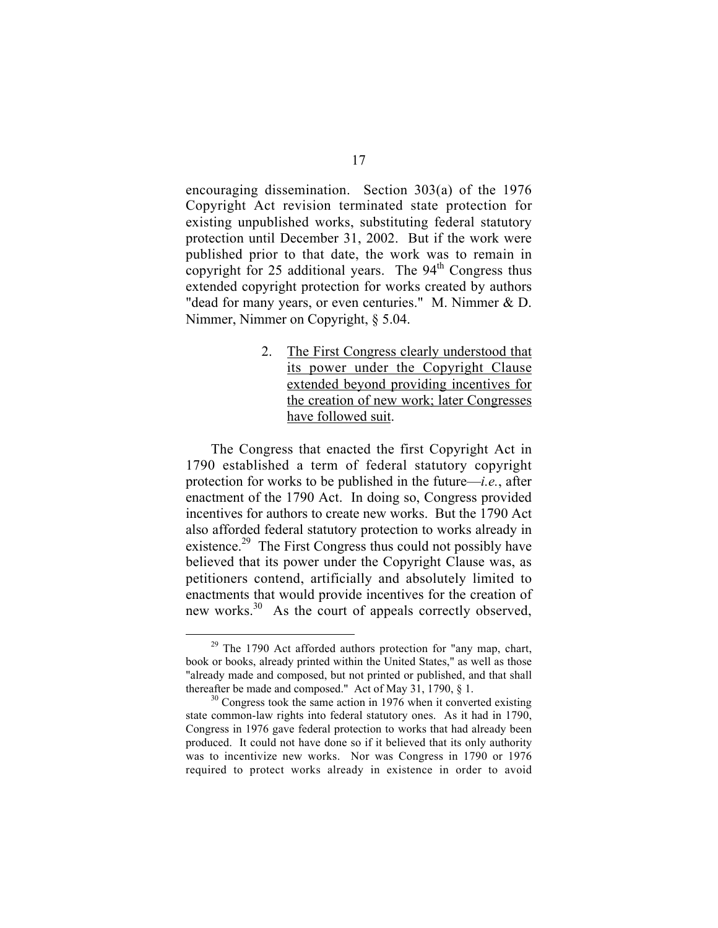encouraging dissemination. Section 303(a) of the 1976 Copyright Act revision terminated state protection for existing unpublished works, substituting federal statutory protection until December 31, 2002. But if the work were published prior to that date, the work was to remain in copyright for 25 additional years. The 94<sup>th</sup> Congress thus extended copyright protection for works created by authors "dead for many years, or even centuries." M. Nimmer & D. Nimmer, Nimmer on Copyright, § 5.04.

> 2. The First Congress clearly understood that its power under the Copyright Clause extended beyond providing incentives for the creation of new work; later Congresses have followed suit.

The Congress that enacted the first Copyright Act in 1790 established a term of federal statutory copyright protection for works to be published in the future—*i.e.*, after enactment of the 1790 Act. In doing so, Congress provided incentives for authors to create new works. But the 1790 Act also afforded federal statutory protection to works already in existence.<sup>29</sup> The First Congress thus could not possibly have believed that its power under the Copyright Clause was, as petitioners contend, artificially and absolutely limited to enactments that would provide incentives for the creation of new works.<sup>30</sup> As the court of appeals correctly observed,

 $29$  The 1790 Act afforded authors protection for "any map, chart, book or books, already printed within the United States," as well as those "already made and composed, but not printed or published, and that shall thereafter be made and composed." Act of May 31, 1790,  $\S$  1.<br><sup>30</sup> Congress took the same action in 1976 when it converted existing

state common-law rights into federal statutory ones. As it had in 1790, Congress in 1976 gave federal protection to works that had already been produced. It could not have done so if it believed that its only authority was to incentivize new works. Nor was Congress in 1790 or 1976 required to protect works already in existence in order to avoid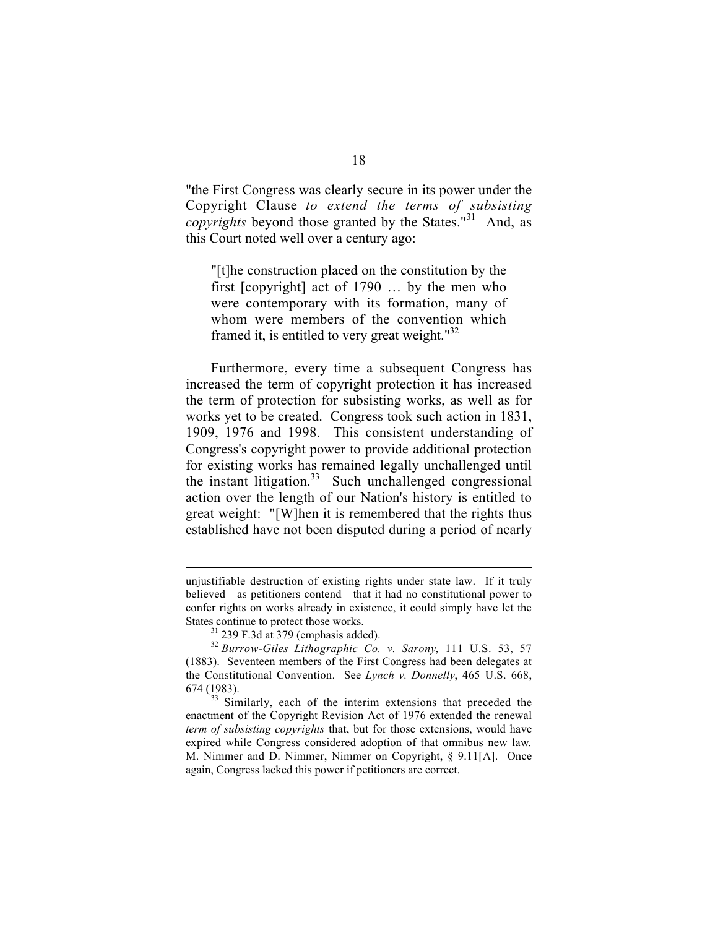"the First Congress was clearly secure in its power under the Copyright Clause *to extend the terms of subsisting copyrights* beyond those granted by the States."<sup>31</sup> And, as this Court noted well over a century ago:

"[t]he construction placed on the constitution by the first [copyright] act of 1790 … by the men who were contemporary with its formation, many of whom were members of the convention which framed it, is entitled to very great weight. $132$ 

Furthermore, every time a subsequent Congress has increased the term of copyright protection it has increased the term of protection for subsisting works, as well as for works yet to be created. Congress took such action in 1831, 1909, 1976 and 1998. This consistent understanding of Congress's copyright power to provide additional protection for existing works has remained legally unchallenged until the instant litigation.<sup>33</sup> Such unchallenged congressional action over the length of our Nation's history is entitled to great weight: "[W]hen it is remembered that the rights thus established have not been disputed during a period of nearly

unjustifiable destruction of existing rights under state law. If it truly believed—as petitioners contend—that it had no constitutional power to confer rights on works already in existence, it could simply have let the States continue to protect those works.

 $31$  239 F.3d at 379 (emphasis added).

<sup>32</sup> *Burrow-Giles Lithographic Co. v. Sarony*, 111 U.S. 53, 57 (1883). Seventeen members of the First Congress had been delegates at the Constitutional Convention. See *Lynch v. Donnelly*, 465 U.S. 668,  $674$  (1983).<br><sup>33</sup> Similarly, each of the interim extensions that preceded the

enactment of the Copyright Revision Act of 1976 extended the renewal *term of subsisting copyrights* that, but for those extensions, would have expired while Congress considered adoption of that omnibus new law*.* M. Nimmer and D. Nimmer, Nimmer on Copyright, § 9.11[A]. Once again, Congress lacked this power if petitioners are correct.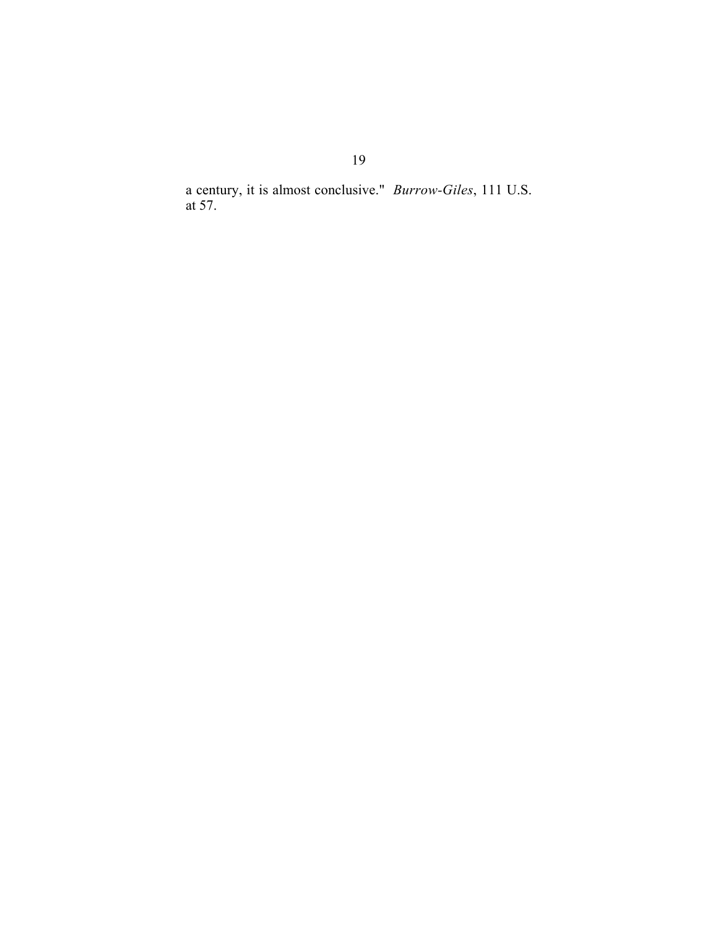a century, it is almost conclusive." *Burrow-Giles*, 111 U.S. at 57.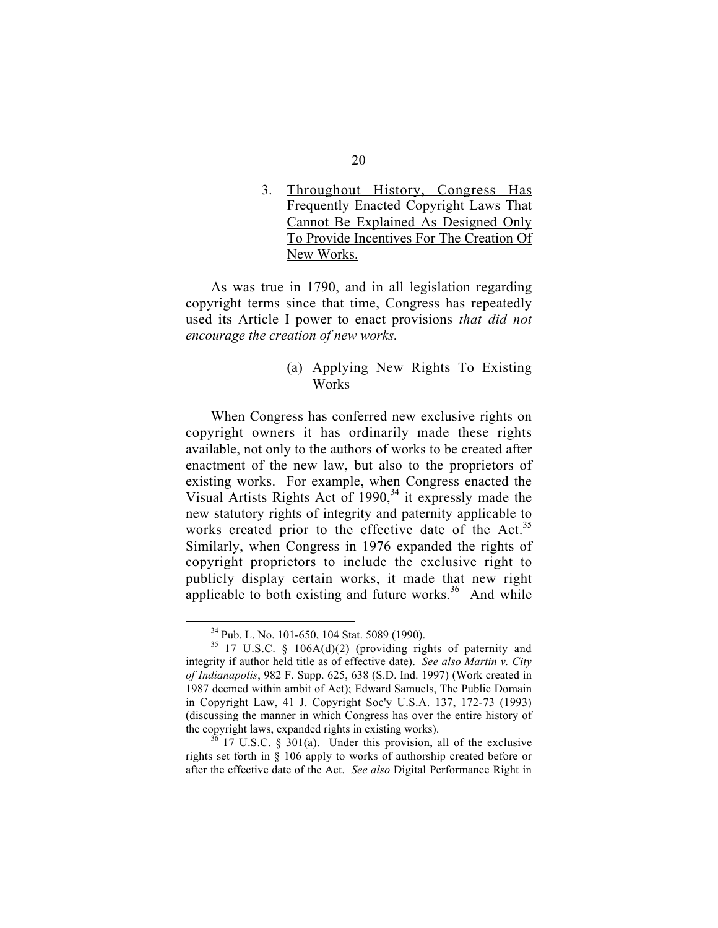3. Throughout History, Congress Has Frequently Enacted Copyright Laws That Cannot Be Explained As Designed Only To Provide Incentives For The Creation Of New Works.

As was true in 1790, and in all legislation regarding copyright terms since that time, Congress has repeatedly used its Article I power to enact provisions *that did not encourage the creation of new works.*

> (a) Applying New Rights To Existing Works

When Congress has conferred new exclusive rights on copyright owners it has ordinarily made these rights available, not only to the authors of works to be created after enactment of the new law, but also to the proprietors of existing works. For example, when Congress enacted the Visual Artists Rights Act of  $1990<sup>34</sup>$  it expressly made the new statutory rights of integrity and paternity applicable to works created prior to the effective date of the Act.<sup>35</sup> Similarly, when Congress in 1976 expanded the rights of copyright proprietors to include the exclusive right to publicly display certain works, it made that new right applicable to both existing and future works. $36$  And while

 <sup>34</sup> Pub. L. No. 101-650, 104 Stat. 5089 (1990).

 $35$  17 U.S.C. § 106A(d)(2) (providing rights of paternity and integrity if author held title as of effective date). *See also Martin v. City of Indianapolis*, 982 F. Supp. 625, 638 (S.D. Ind. 1997) (Work created in 1987 deemed within ambit of Act); Edward Samuels, The Public Domain in Copyright Law, 41 J. Copyright Soc'y U.S.A. 137, 172-73 (1993) (discussing the manner in which Congress has over the entire history of the copyright laws, expanded rights in existing works).  $\frac{36}{17}$  U.S.C. § 301(a). Under this provision, all of the exclusive

rights set forth in § 106 apply to works of authorship created before or after the effective date of the Act. *See also* Digital Performance Right in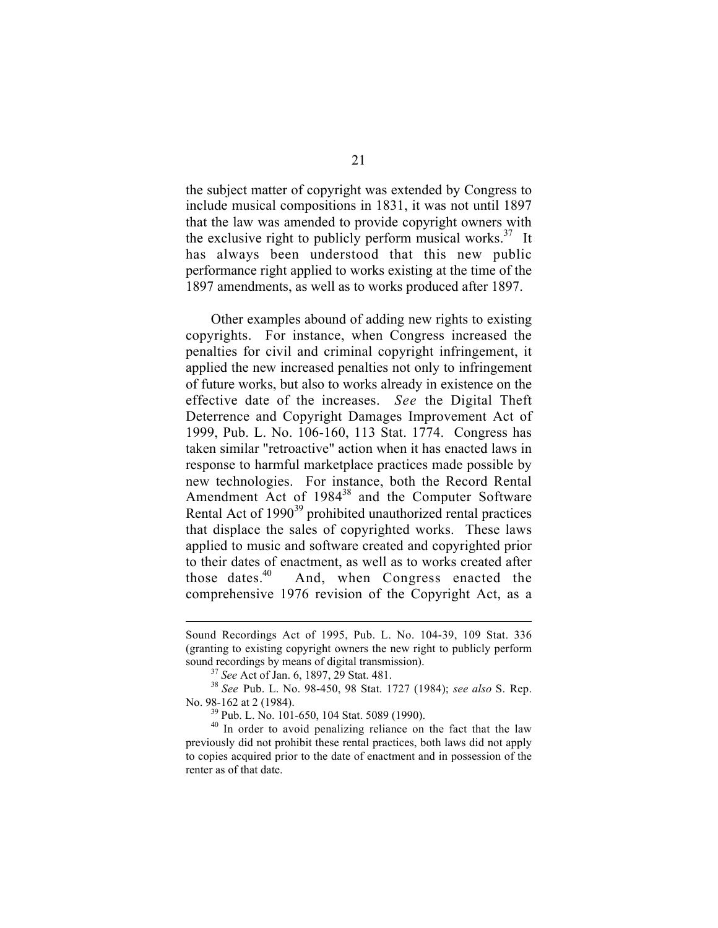the subject matter of copyright was extended by Congress to include musical compositions in 1831, it was not until 1897 that the law was amended to provide copyright owners with the exclusive right to publicly perform musical works. $37$  It has always been understood that this new public performance right applied to works existing at the time of the 1897 amendments, as well as to works produced after 1897.

Other examples abound of adding new rights to existing copyrights. For instance, when Congress increased the penalties for civil and criminal copyright infringement, it applied the new increased penalties not only to infringement of future works, but also to works already in existence on the effective date of the increases. *See* the Digital Theft Deterrence and Copyright Damages Improvement Act of 1999, Pub. L. No. 106-160, 113 Stat. 1774. Congress has taken similar "retroactive" action when it has enacted laws in response to harmful marketplace practices made possible by new technologies. For instance, both the Record Rental Amendment Act of 1984<sup>38</sup> and the Computer Software Rental Act of 1990<sup>39</sup> prohibited unauthorized rental practices that displace the sales of copyrighted works. These laws applied to music and software created and copyrighted prior to their dates of enactment, as well as to works created after those dates. $40$  And, when Congress enacted the comprehensive 1976 revision of the Copyright Act, as a

Sound Recordings Act of 1995, Pub. L. No. 104-39, 109 Stat. 336 (granting to existing copyright owners the new right to publicly perform sound recordings by means of digital transmission). <sup>37</sup> *See* Act of Jan. 6, 1897, 29 Stat. 481. <sup>38</sup> *See* Pub. L. No. 98-450, 98 Stat. 1727 (1984); *see also* S. Rep.

No. 98-162 at 2 (1984).

Pub. L. No. 101-650, 104 Stat. 5089 (1990).

<sup>&</sup>lt;sup>40</sup> In order to avoid penalizing reliance on the fact that the law previously did not prohibit these rental practices, both laws did not apply to copies acquired prior to the date of enactment and in possession of the renter as of that date.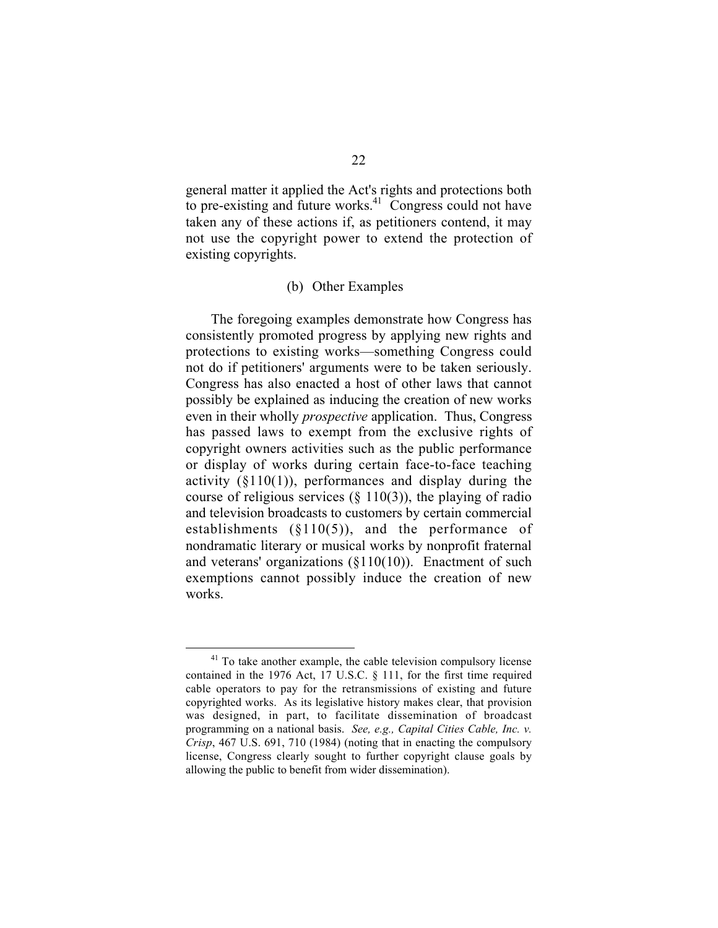general matter it applied the Act's rights and protections both to pre-existing and future works. $41$  Congress could not have taken any of these actions if, as petitioners contend, it may not use the copyright power to extend the protection of existing copyrights.

#### (b) Other Examples

The foregoing examples demonstrate how Congress has consistently promoted progress by applying new rights and protections to existing works—something Congress could not do if petitioners' arguments were to be taken seriously. Congress has also enacted a host of other laws that cannot possibly be explained as inducing the creation of new works even in their wholly *prospective* application. Thus, Congress has passed laws to exempt from the exclusive rights of copyright owners activities such as the public performance or display of works during certain face-to-face teaching activity  $(\S110(1))$ , performances and display during the course of religious services  $(\S 110(3))$ , the playing of radio and television broadcasts to customers by certain commercial establishments  $(\S110(5))$ , and the performance of nondramatic literary or musical works by nonprofit fraternal and veterans' organizations (§110(10)). Enactment of such exemptions cannot possibly induce the creation of new works.

 $41$  To take another example, the cable television compulsory license contained in the 1976 Act, 17 U.S.C. § 111, for the first time required cable operators to pay for the retransmissions of existing and future copyrighted works. As its legislative history makes clear, that provision was designed, in part, to facilitate dissemination of broadcast programming on a national basis. *See, e.g., Capital Cities Cable, Inc. v. Crisp*, 467 U.S. 691, 710 (1984) (noting that in enacting the compulsory license, Congress clearly sought to further copyright clause goals by allowing the public to benefit from wider dissemination).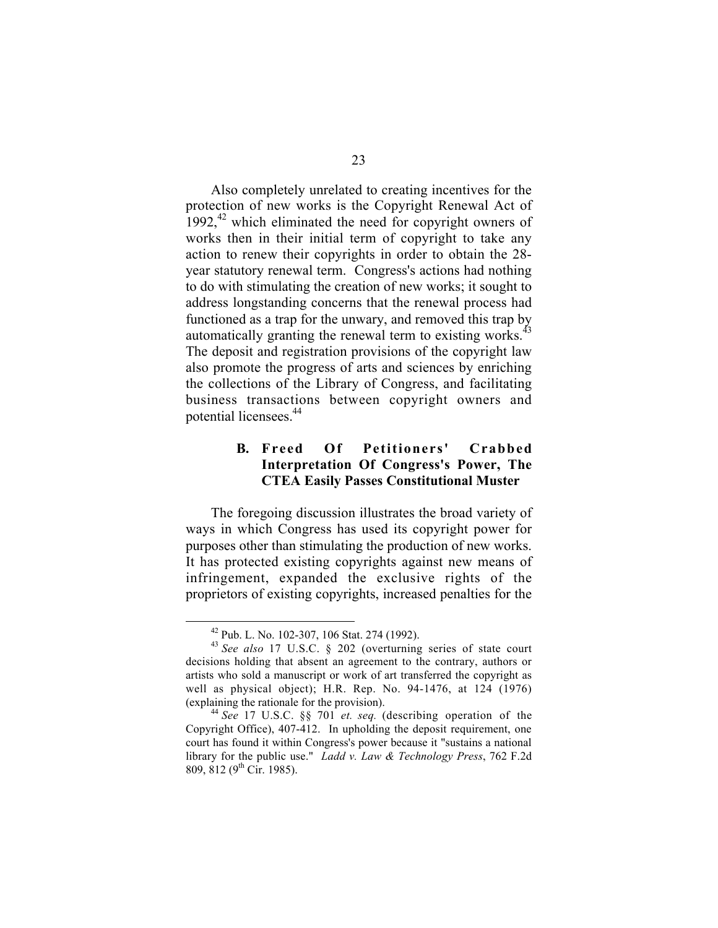Also completely unrelated to creating incentives for the protection of new works is the Copyright Renewal Act of 1992, $42$  which eliminated the need for copyright owners of works then in their initial term of copyright to take any action to renew their copyrights in order to obtain the 28 year statutory renewal term. Congress's actions had nothing to do with stimulating the creation of new works; it sought to address longstanding concerns that the renewal process had functioned as a trap for the unwary, and removed this trap by automatically granting the renewal term to existing works.<sup>43</sup> The deposit and registration provisions of the copyright law also promote the progress of arts and sciences by enriching the collections of the Library of Congress, and facilitating business transactions between copyright owners and potential licensees.44

#### **B. Freed Of Petitioners' Crabbed Interpretation Of Congress's Power, The CTEA Easily Passes Constitutional Muster**

The foregoing discussion illustrates the broad variety of ways in which Congress has used its copyright power for purposes other than stimulating the production of new works. It has protected existing copyrights against new means of infringement, expanded the exclusive rights of the proprietors of existing copyrights, increased penalties for the

 <sup>42</sup> Pub. L. No. 102-307, 106 Stat. 274 (1992).

<sup>43</sup> *See also* 17 U.S.C. § 202 (overturning series of state court decisions holding that absent an agreement to the contrary, authors or artists who sold a manuscript or work of art transferred the copyright as well as physical object); H.R. Rep. No. 94-1476, at 124 (1976) (explaining the rationale for the provision). <sup>44</sup> *See* 17 U.S.C. §§ 701 *et. seq.* (describing operation of the

Copyright Office), 407-412. In upholding the deposit requirement, one court has found it within Congress's power because it "sustains a national library for the public use." *Ladd v. Law & Technology Press*, 762 F.2d 809, 812 (9<sup>th</sup> Cir. 1985).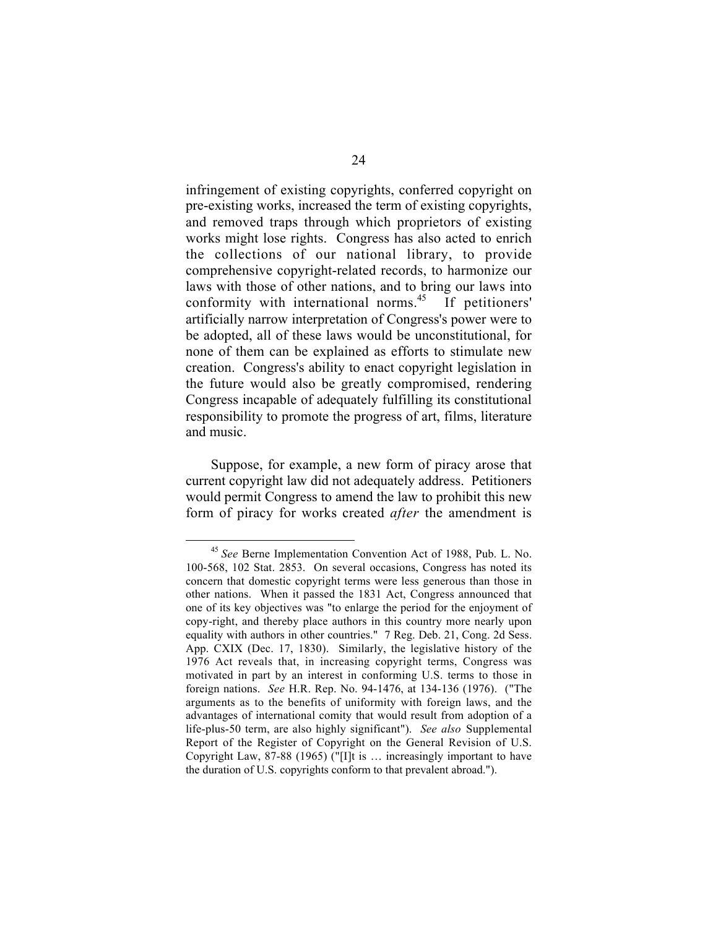infringement of existing copyrights, conferred copyright on pre-existing works, increased the term of existing copyrights, and removed traps through which proprietors of existing works might lose rights. Congress has also acted to enrich the collections of our national library, to provide comprehensive copyright-related records, to harmonize our laws with those of other nations, and to bring our laws into conformity with international norms. 45 If petitioners' artificially narrow interpretation of Congress's power were to be adopted, all of these laws would be unconstitutional, for none of them can be explained as efforts to stimulate new creation. Congress's ability to enact copyright legislation in the future would also be greatly compromised, rendering Congress incapable of adequately fulfilling its constitutional responsibility to promote the progress of art, films, literature and music.

Suppose, for example, a new form of piracy arose that current copyright law did not adequately address. Petitioners would permit Congress to amend the law to prohibit this new form of piracy for works created *after* the amendment is

 <sup>45</sup> *See* Berne Implementation Convention Act of 1988, Pub. L. No. 100-568, 102 Stat. 2853. On several occasions, Congress has noted its concern that domestic copyright terms were less generous than those in other nations. When it passed the 1831 Act, Congress announced that one of its key objectives was "to enlarge the period for the enjoyment of copy-right, and thereby place authors in this country more nearly upon equality with authors in other countries." 7 Reg. Deb. 21, Cong. 2d Sess. App. CXIX (Dec. 17, 1830). Similarly, the legislative history of the 1976 Act reveals that, in increasing copyright terms, Congress was motivated in part by an interest in conforming U.S. terms to those in foreign nations. *See* H.R. Rep. No. 94-1476, at 134-136 (1976). ("The arguments as to the benefits of uniformity with foreign laws, and the advantages of international comity that would result from adoption of a life-plus-50 term, are also highly significant"). *See also* Supplemental Report of the Register of Copyright on the General Revision of U.S. Copyright Law, 87-88 (1965) ("[I]t is … increasingly important to have the duration of U.S. copyrights conform to that prevalent abroad.").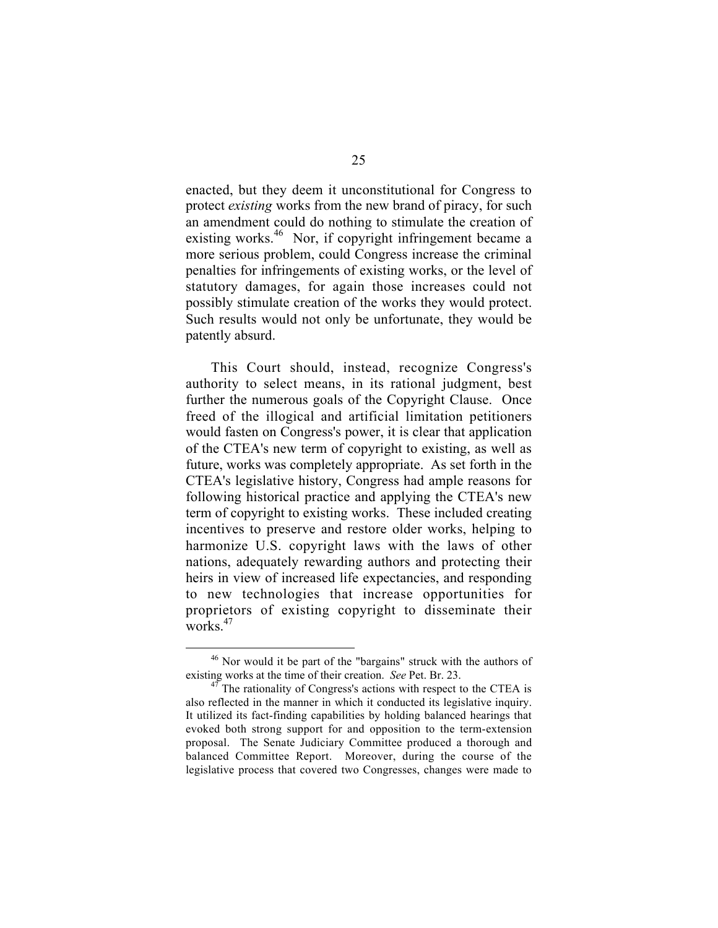enacted, but they deem it unconstitutional for Congress to protect *existing* works from the new brand of piracy, for such an amendment could do nothing to stimulate the creation of existing works.<sup>46</sup> Nor, if copyright infringement became a more serious problem, could Congress increase the criminal penalties for infringements of existing works, or the level of statutory damages, for again those increases could not possibly stimulate creation of the works they would protect. Such results would not only be unfortunate, they would be patently absurd.

This Court should, instead, recognize Congress's authority to select means, in its rational judgment, best further the numerous goals of the Copyright Clause. Once freed of the illogical and artificial limitation petitioners would fasten on Congress's power, it is clear that application of the CTEA's new term of copyright to existing, as well as future, works was completely appropriate. As set forth in the CTEA's legislative history, Congress had ample reasons for following historical practice and applying the CTEA's new term of copyright to existing works. These included creating incentives to preserve and restore older works, helping to harmonize U.S. copyright laws with the laws of other nations, adequately rewarding authors and protecting their heirs in view of increased life expectancies, and responding to new technologies that increase opportunities for proprietors of existing copyright to disseminate their works.<sup>47</sup>

 $46$  Nor would it be part of the "bargains" struck with the authors of existing works at the time of their creation. *See* Pet. Br. 23.

<sup>&</sup>lt;sup>47</sup> The rationality of Congress's actions with respect to the CTEA is also reflected in the manner in which it conducted its legislative inquiry. It utilized its fact-finding capabilities by holding balanced hearings that evoked both strong support for and opposition to the term-extension proposal. The Senate Judiciary Committee produced a thorough and balanced Committee Report. Moreover, during the course of the legislative process that covered two Congresses, changes were made to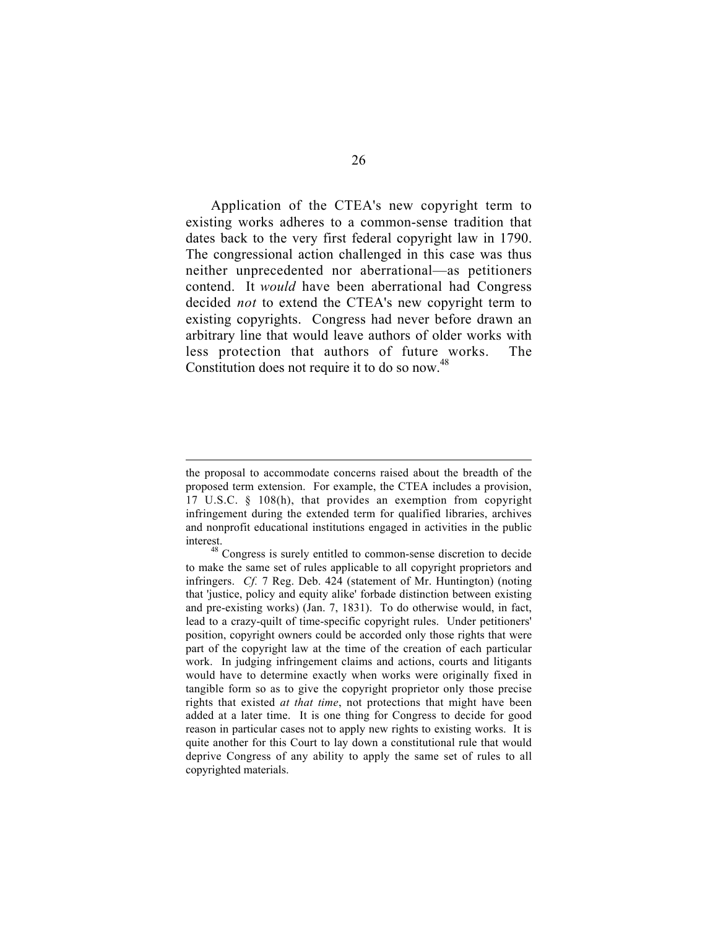Application of the CTEA's new copyright term to existing works adheres to a common-sense tradition that dates back to the very first federal copyright law in 1790. The congressional action challenged in this case was thus neither unprecedented nor aberrational—as petitioners contend. It *would* have been aberrational had Congress decided *not* to extend the CTEA's new copyright term to existing copyrights. Congress had never before drawn an arbitrary line that would leave authors of older works with less protection that authors of future works. The Constitution does not require it to do so now.<sup>48</sup>

the proposal to accommodate concerns raised about the breadth of the proposed term extension. For example, the CTEA includes a provision, 17 U.S.C. § 108(h), that provides an exemption from copyright infringement during the extended term for qualified libraries, archives and nonprofit educational institutions engaged in activities in the public

interest. <sup>48</sup> Congress is surely entitled to common-sense discretion to decide to make the same set of rules applicable to all copyright proprietors and infringers. *Cf.* 7 Reg. Deb. 424 (statement of Mr. Huntington) (noting that 'justice, policy and equity alike' forbade distinction between existing and pre-existing works) (Jan. 7, 1831). To do otherwise would, in fact, lead to a crazy-quilt of time-specific copyright rules. Under petitioners' position, copyright owners could be accorded only those rights that were part of the copyright law at the time of the creation of each particular work. In judging infringement claims and actions, courts and litigants would have to determine exactly when works were originally fixed in tangible form so as to give the copyright proprietor only those precise rights that existed *at that time*, not protections that might have been added at a later time. It is one thing for Congress to decide for good reason in particular cases not to apply new rights to existing works. It is quite another for this Court to lay down a constitutional rule that would deprive Congress of any ability to apply the same set of rules to all copyrighted materials.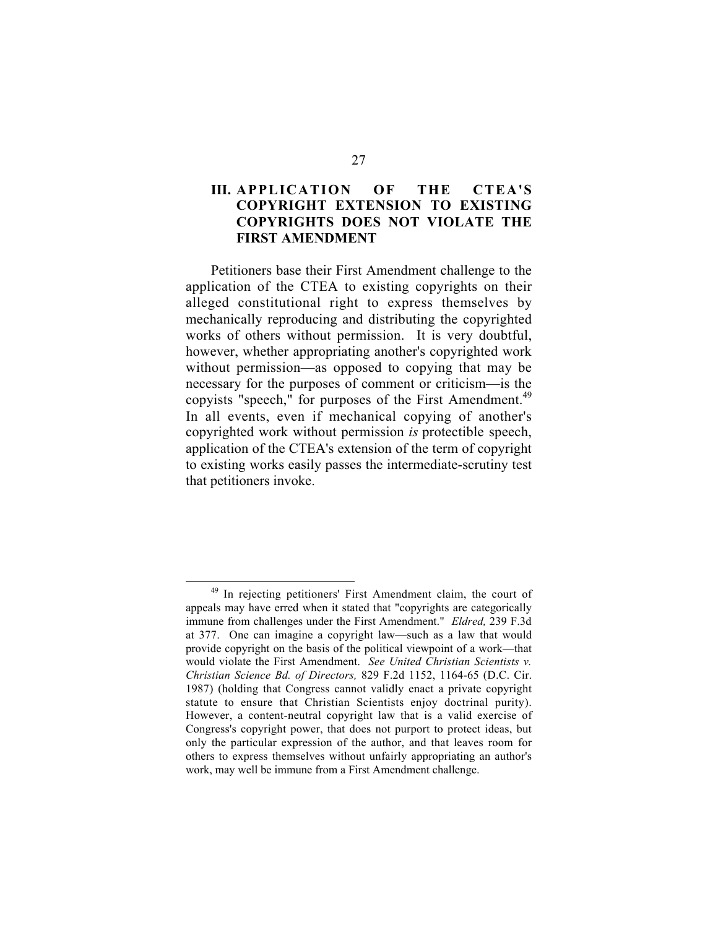#### **III. APPLICATION OF THE CTEA'S COPYRIGHT EXTENSION TO EXISTING COPYRIGHTS DOES NOT VIOLATE THE FIRST AMENDMENT**

Petitioners base their First Amendment challenge to the application of the CTEA to existing copyrights on their alleged constitutional right to express themselves by mechanically reproducing and distributing the copyrighted works of others without permission. It is very doubtful, however, whether appropriating another's copyrighted work without permission—as opposed to copying that may be necessary for the purposes of comment or criticism—is the copyists "speech," for purposes of the First Amendment.<sup>49</sup> In all events, even if mechanical copying of another's copyrighted work without permission *is* protectible speech, application of the CTEA's extension of the term of copyright to existing works easily passes the intermediate-scrutiny test that petitioners invoke.

 <sup>49</sup> In rejecting petitioners' First Amendment claim, the court of appeals may have erred when it stated that "copyrights are categorically immune from challenges under the First Amendment." *Eldred,* 239 F.3d at 377. One can imagine a copyright law—such as a law that would provide copyright on the basis of the political viewpoint of a work—that would violate the First Amendment. *See United Christian Scientists v. Christian Science Bd. of Directors,* 829 F.2d 1152, 1164-65 (D.C. Cir. 1987) (holding that Congress cannot validly enact a private copyright statute to ensure that Christian Scientists enjoy doctrinal purity). However, a content-neutral copyright law that is a valid exercise of Congress's copyright power, that does not purport to protect ideas, but only the particular expression of the author, and that leaves room for others to express themselves without unfairly appropriating an author's work, may well be immune from a First Amendment challenge.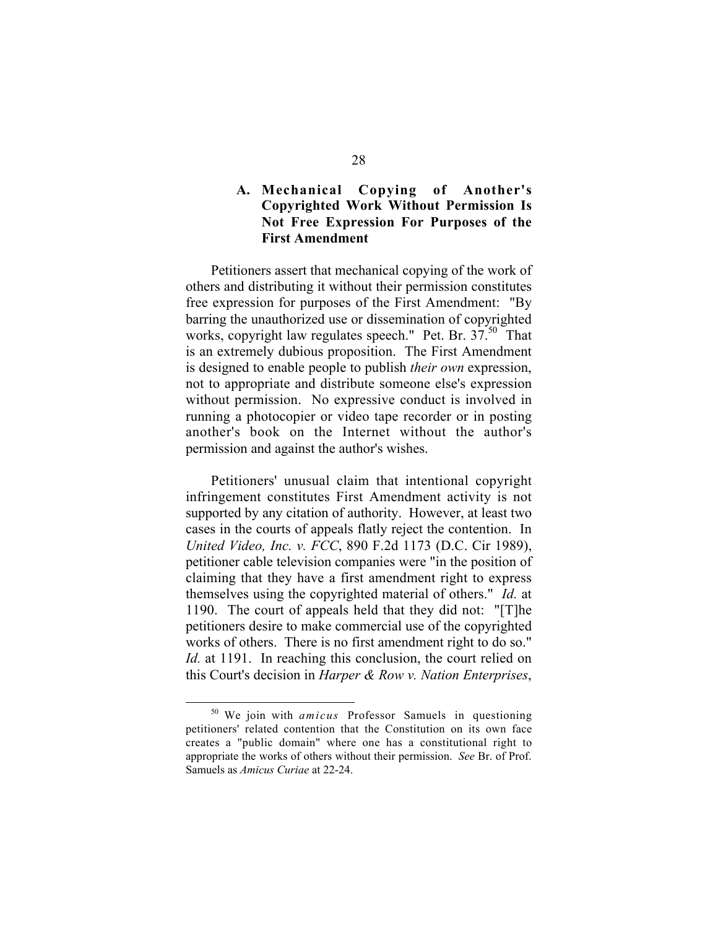#### **A. Mechanical Copying of Another's Copyrighted Work Without Permission Is Not Free Expression For Purposes of the First Amendment**

Petitioners assert that mechanical copying of the work of others and distributing it without their permission constitutes free expression for purposes of the First Amendment: "By barring the unauthorized use or dissemination of copyrighted works, copyright law regulates speech." Pet. Br. 37.50 That is an extremely dubious proposition. The First Amendment is designed to enable people to publish *their own* expression, not to appropriate and distribute someone else's expression without permission. No expressive conduct is involved in running a photocopier or video tape recorder or in posting another's book on the Internet without the author's permission and against the author's wishes.

Petitioners' unusual claim that intentional copyright infringement constitutes First Amendment activity is not supported by any citation of authority. However, at least two cases in the courts of appeals flatly reject the contention. In *United Video, Inc. v. FCC*, 890 F.2d 1173 (D.C. Cir 1989), petitioner cable television companies were "in the position of claiming that they have a first amendment right to express themselves using the copyrighted material of others." *Id.* at 1190. The court of appeals held that they did not: "[T]he petitioners desire to make commercial use of the copyrighted works of others. There is no first amendment right to do so." *Id.* at 1191. In reaching this conclusion, the court relied on this Court's decision in *Harper & Row v. Nation Enterprises*,

 <sup>50</sup> We join with *amicus* Professor Samuels in questioning petitioners' related contention that the Constitution on its own face creates a "public domain" where one has a constitutional right to appropriate the works of others without their permission. *See* Br. of Prof. Samuels as *Amicus Curiae* at 22-24.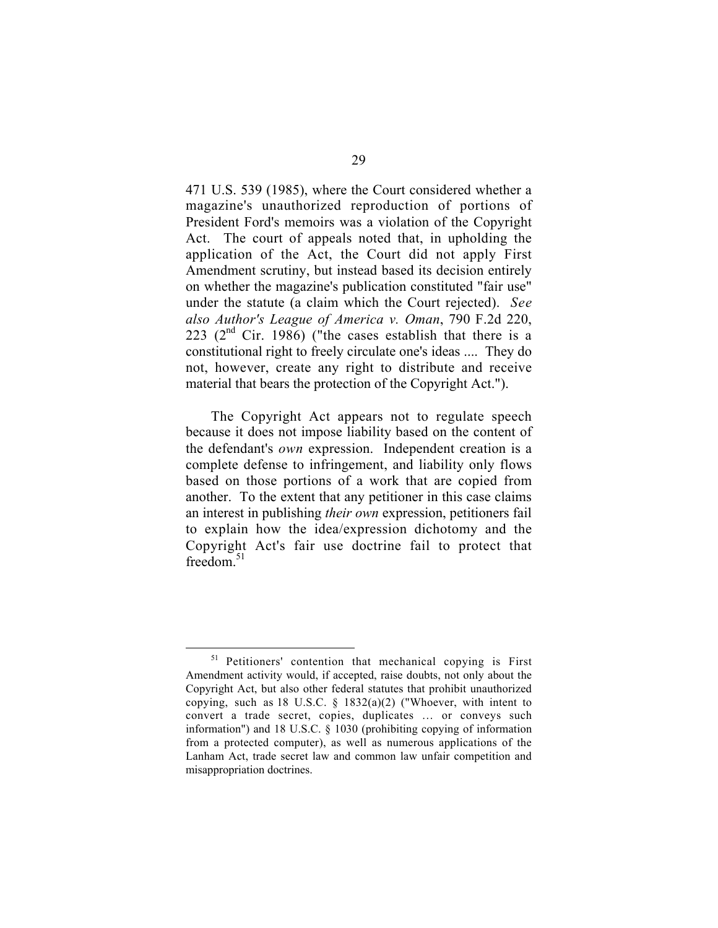471 U.S. 539 (1985), where the Court considered whether a magazine's unauthorized reproduction of portions of President Ford's memoirs was a violation of the Copyright Act. The court of appeals noted that, in upholding the application of the Act, the Court did not apply First Amendment scrutiny, but instead based its decision entirely on whether the magazine's publication constituted "fair use" under the statute (a claim which the Court rejected). *See also Author's League of America v. Oman*, 790 F.2d 220, 223 ( $2<sup>nd</sup>$  Cir. 1986) ("the cases establish that there is a constitutional right to freely circulate one's ideas .... They do not, however, create any right to distribute and receive material that bears the protection of the Copyright Act.").

The Copyright Act appears not to regulate speech because it does not impose liability based on the content of the defendant's *own* expression. Independent creation is a complete defense to infringement, and liability only flows based on those portions of a work that are copied from another. To the extent that any petitioner in this case claims an interest in publishing *their own* expression, petitioners fail to explain how the idea/expression dichotomy and the Copyright Act's fair use doctrine fail to protect that freedom. $51$ 

<sup>&</sup>lt;sup>51</sup> Petitioners' contention that mechanical copying is First Amendment activity would, if accepted, raise doubts, not only about the Copyright Act, but also other federal statutes that prohibit unauthorized copying, such as 18 U.S.C. § 1832(a)(2) ("Whoever, with intent to convert a trade secret, copies, duplicates … or conveys such information") and 18 U.S.C. § 1030 (prohibiting copying of information from a protected computer), as well as numerous applications of the Lanham Act, trade secret law and common law unfair competition and misappropriation doctrines.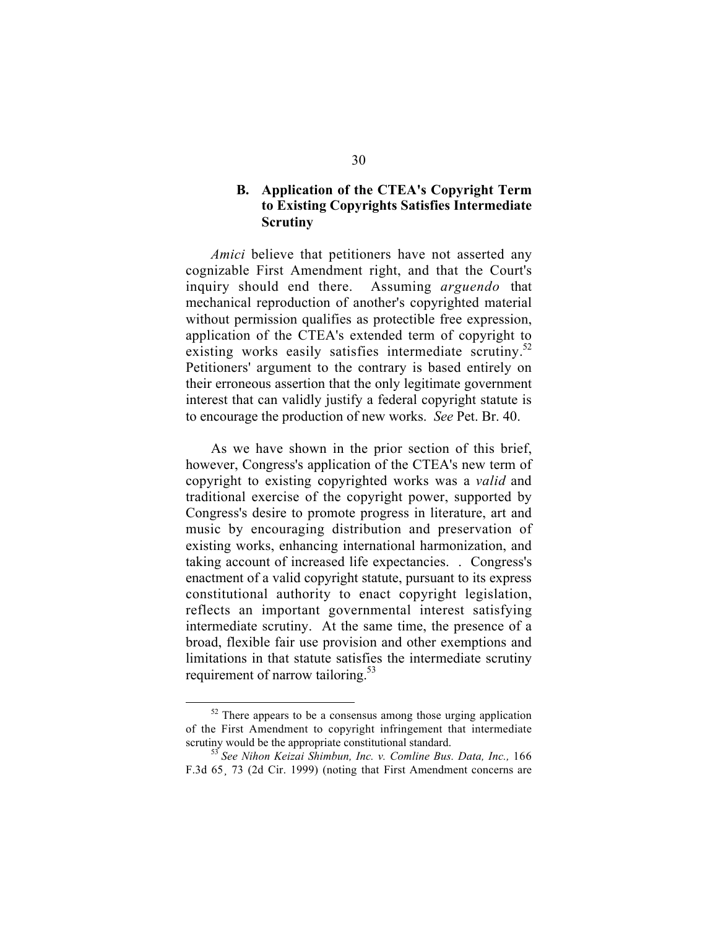### **B. Application of the CTEA's Copyright Term to Existing Copyrights Satisfies Intermediate Scrutiny**

*Amici* believe that petitioners have not asserted any cognizable First Amendment right, and that the Court's inquiry should end there. Assuming *arguendo* that mechanical reproduction of another's copyrighted material without permission qualifies as protectible free expression, application of the CTEA's extended term of copyright to existing works easily satisfies intermediate scrutiny.<sup>52</sup> Petitioners' argument to the contrary is based entirely on their erroneous assertion that the only legitimate government interest that can validly justify a federal copyright statute is to encourage the production of new works. *See* Pet. Br. 40.

As we have shown in the prior section of this brief, however, Congress's application of the CTEA's new term of copyright to existing copyrighted works was a *valid* and traditional exercise of the copyright power, supported by Congress's desire to promote progress in literature, art and music by encouraging distribution and preservation of existing works, enhancing international harmonization, and taking account of increased life expectancies. . Congress's enactment of a valid copyright statute, pursuant to its express constitutional authority to enact copyright legislation, reflects an important governmental interest satisfying intermediate scrutiny. At the same time, the presence of a broad, flexible fair use provision and other exemptions and limitations in that statute satisfies the intermediate scrutiny requirement of narrow tailoring.<sup>53</sup>

 $52$  There appears to be a consensus among those urging application of the First Amendment to copyright infringement that intermediate

<sup>&</sup>lt;sup>53</sup> See Nihon Keizai Shimbun, Inc. v. Comline Bus. Data, Inc., 166 F.3d 65¸ 73 (2d Cir. 1999) (noting that First Amendment concerns are